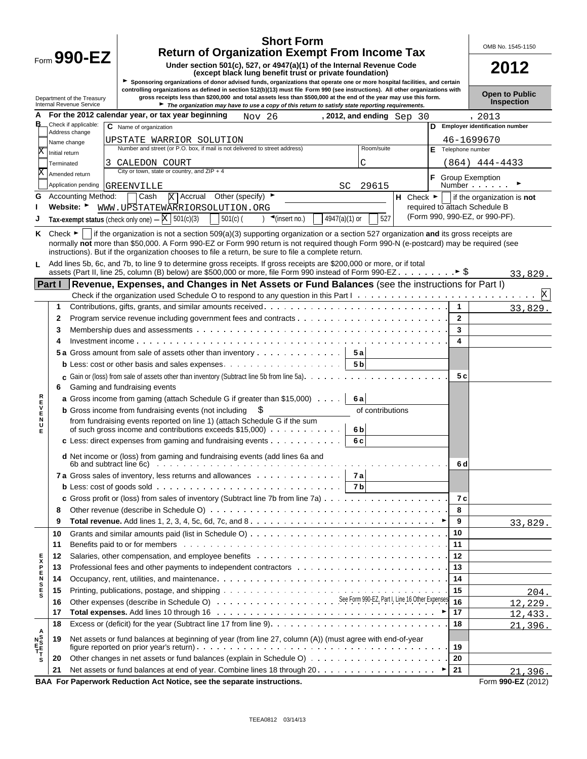| <b>Return of Organization Exempt From Income Tax</b><br>Form $990$ -EZ<br>Under section 501(c), 527, or 4947(a)(1) of the Internal Revenue Code<br>2012<br>(except black lung benefit trust or private foundation)<br>Sponsoring organizations of donor advised funds, organizations that operate one or more hospital facilities, and certain<br>controlling organizations as defined in section 512(b)(13) must file Form 990 (see instructions). All other organizations with<br><b>Open to Public</b><br>gross receipts less than \$200,000 and total assets less than \$500,000 at the end of the year may use this form.<br>Department of the Treasury<br>Inspection<br>Internal Revenue Service<br>The organization may have to use a copy of this return to satisfy state reporting requirements.<br>For the 2012 calendar year, or tax year beginning<br>Nov 26<br>, 2012, and ending $Sep 30$<br>, 2013<br>в<br>Check if applicable:<br>D Employer identification number<br>C Name of organization<br>Address change<br>46-1699670<br>UPSTATE WARRIOR SOLUTION<br>Name change<br>Number and street (or P.O. box, if mail is not delivered to street address)<br>Room/suite<br>F Telephone number<br>Initial return<br>C<br>$(864)$ 444-4433<br>CALEDON COURT<br>Terminated<br>City or town, state or country, and $ZIP + 4$<br>Amended return<br>F<br><b>Group Exemption</b><br>Number<br>Application pending<br>29615<br>GREENVILLE<br>SC<br>$\overline{X}$ Accrual Other (specify) $\blacktriangleright$<br><b>Accounting Method:</b><br>Cash<br>$H$ Check $\blacktriangleright$<br>if the organization is not<br>G<br>required to attach Schedule B<br>Website:<br>WWW.UPSTATEWARRIORSOLUTION.ORG<br>(Form 990, 990-EZ, or 990-PF).<br>Tax-exempt status (check only one) $ \times$ 501(c)(3)<br>) $\triangleleft$ (insert no.)<br>527<br>$501(c)$ (<br>$4947(a)(1)$ or<br>Check $\blacktriangleright$   if the organization is not a section 509(a)(3) supporting organization or a section 527 organization and its gross receipts are<br>Κ<br>normally not more than \$50,000. A Form 990-EZ or Form 990 return is not required though Form 990-N (e-postcard) may be required (see<br>instructions). But if the organization chooses to file a return, be sure to file a complete return.<br>Add lines 5b, 6c, and 7b, to line 9 to determine gross receipts. If gross receipts are \$200,000 or more, or if total<br>L<br>33,829.<br>Part I   Revenue, Expenses, and Changes in Net Assets or Fund Balances (see the instructions for Part I)<br>X<br>1<br>1<br>33,829.<br>$\mathbf{2}$<br>2<br>3<br>3<br>4<br>5 a Gross amount from sale of assets other than inventory<br>5а<br>5 <sub>b</sub><br>5 c<br><b>c</b> Gain or (loss) from sale of assets other than inventory (Subtract line 5b from line 5a). $\ldots$ , $\ldots$ , $\ldots$ , $\ldots$<br>Gaming and fundraising events<br>6<br>R<br>E<br>V<br><b>a</b> Gross income from gaming (attach Schedule G if greater than \$15,000)<br>6а<br><b>b</b> Gross income from fundraising events (not including<br>of contributions<br>E<br>N<br>from fundraising events reported on line 1) (attach Schedule G if the sum<br>U<br>of such gross income and contributions exceeds $$15,000$<br>6 <sub>b</sub><br>Е<br>c Less: direct expenses from gaming and fundraising events $\cdots$<br>6 c<br><b>d</b> Net income or (loss) from gaming and fundraising events (add lines 6a and<br>6b and subtract line 6c) $\ldots$ $\ldots$ $\ldots$ $\ldots$ $\ldots$ $\ldots$ $\ldots$ $\ldots$ $\ldots$ $\ldots$ $\ldots$ $\ldots$ $\ldots$ $\ldots$ $\ldots$<br>6 d<br>7a Gross sales of inventory, less returns and allowances 7a<br><b>b</b> Less: cost of goods sold $\cdots$ $\cdots$ $\cdots$ $\cdots$ $\cdots$ $\cdots$ $\cdots$ $\cdots$ $\cdots$ $\cdots$ $\cdots$ $\cdots$ $\cdots$<br>7 c<br>8<br>8<br>9<br>9<br>33,829.<br>10<br>10<br>Benefits paid to or for members entertainment of the state of the state of the state of the state of the state of the state of the state of the state of the state of the state of the state of the state of the state of the<br>11<br>11<br>Salaries, other compensation, and employee benefits (and all contact and all contact and all contact and all contact and all contact and all contact and all contact and all contact and all contact and all contact and all c<br>12<br><b>SHASH</b><br>12<br>13<br>13<br>14<br>14<br>15<br>15<br>16<br>16<br>17<br>17<br>18<br>18<br>21,396.<br>A<br>NE<br>T<br>T<br>S<br>Net assets or fund balances at beginning of year (from line 27, column (A)) (must agree with end-of-year<br>19<br>19<br>20<br>20<br>21<br>21<br>21,396.<br>BAA For Paperwork Reduction Act Notice, see the separate instructions.<br>Form 990-EZ (2012) |  | <b>Short Form</b> |  | OMB No. 1545-1150 |
|------------------------------------------------------------------------------------------------------------------------------------------------------------------------------------------------------------------------------------------------------------------------------------------------------------------------------------------------------------------------------------------------------------------------------------------------------------------------------------------------------------------------------------------------------------------------------------------------------------------------------------------------------------------------------------------------------------------------------------------------------------------------------------------------------------------------------------------------------------------------------------------------------------------------------------------------------------------------------------------------------------------------------------------------------------------------------------------------------------------------------------------------------------------------------------------------------------------------------------------------------------------------------------------------------------------------------------------------------------------------------------------------------------------------------------------------------------------------------------------------------------------------------------------------------------------------------------------------------------------------------------------------------------------------------------------------------------------------------------------------------------------------------------------------------------------------------------------------------------------------------------------------------------------------------------------------------------------------------------------------------------------------------------------------------------------------------------------------------------------------------------------------------------------------------------------------------------------------------------------------------------------------------------------------------------------------------------------------------------------------------------------------------------------------------------------------------------------------------------------------------------------------------------------------------------------------------------------------------------------------------------------------------------------------------------------------------------------------------------------------------------------------------------------------------------------------------------------------------------------------------------------------------------------------------------------------------------------------------------------------------------------------------------------------------------------------------------------------------------------------------------------------------------------------------------------------------------------------------------------------------------------------------------------------------------------------------------------------------------------------------------------------------------------------------------------------------------------------------------------------------------------------------------------------------------------------------------------------------------------------------------------------------------------------------------------------------------------------------------------------------------------------------------------------------------------------------------------------------------------------------------------------------------------------------------------------------------------------------------------------------------------------------------------------------------------------------------------------------------------------------------------------------------------------------------------------------------------------------------------------------------------------------------------------------------------------------------------------------------------------------------------------------------------------------------------------------------------------------------------------------------------------------------------------------------------------------------------------------------------------------------------------------------------------------------------------------------------------------------------------------------------------------------------------------|--|-------------------|--|-------------------|
|                                                                                                                                                                                                                                                                                                                                                                                                                                                                                                                                                                                                                                                                                                                                                                                                                                                                                                                                                                                                                                                                                                                                                                                                                                                                                                                                                                                                                                                                                                                                                                                                                                                                                                                                                                                                                                                                                                                                                                                                                                                                                                                                                                                                                                                                                                                                                                                                                                                                                                                                                                                                                                                                                                                                                                                                                                                                                                                                                                                                                                                                                                                                                                                                                                                                                                                                                                                                                                                                                                                                                                                                                                                                                                                                                                                                                                                                                                                                                                                                                                                                                                                                                                                                                                                                                                                                                                                                                                                                                                                                                                                                                                                                                                                                                                                                      |  |                   |  |                   |
|                                                                                                                                                                                                                                                                                                                                                                                                                                                                                                                                                                                                                                                                                                                                                                                                                                                                                                                                                                                                                                                                                                                                                                                                                                                                                                                                                                                                                                                                                                                                                                                                                                                                                                                                                                                                                                                                                                                                                                                                                                                                                                                                                                                                                                                                                                                                                                                                                                                                                                                                                                                                                                                                                                                                                                                                                                                                                                                                                                                                                                                                                                                                                                                                                                                                                                                                                                                                                                                                                                                                                                                                                                                                                                                                                                                                                                                                                                                                                                                                                                                                                                                                                                                                                                                                                                                                                                                                                                                                                                                                                                                                                                                                                                                                                                                                      |  |                   |  |                   |
|                                                                                                                                                                                                                                                                                                                                                                                                                                                                                                                                                                                                                                                                                                                                                                                                                                                                                                                                                                                                                                                                                                                                                                                                                                                                                                                                                                                                                                                                                                                                                                                                                                                                                                                                                                                                                                                                                                                                                                                                                                                                                                                                                                                                                                                                                                                                                                                                                                                                                                                                                                                                                                                                                                                                                                                                                                                                                                                                                                                                                                                                                                                                                                                                                                                                                                                                                                                                                                                                                                                                                                                                                                                                                                                                                                                                                                                                                                                                                                                                                                                                                                                                                                                                                                                                                                                                                                                                                                                                                                                                                                                                                                                                                                                                                                                                      |  |                   |  |                   |
|                                                                                                                                                                                                                                                                                                                                                                                                                                                                                                                                                                                                                                                                                                                                                                                                                                                                                                                                                                                                                                                                                                                                                                                                                                                                                                                                                                                                                                                                                                                                                                                                                                                                                                                                                                                                                                                                                                                                                                                                                                                                                                                                                                                                                                                                                                                                                                                                                                                                                                                                                                                                                                                                                                                                                                                                                                                                                                                                                                                                                                                                                                                                                                                                                                                                                                                                                                                                                                                                                                                                                                                                                                                                                                                                                                                                                                                                                                                                                                                                                                                                                                                                                                                                                                                                                                                                                                                                                                                                                                                                                                                                                                                                                                                                                                                                      |  |                   |  |                   |
|                                                                                                                                                                                                                                                                                                                                                                                                                                                                                                                                                                                                                                                                                                                                                                                                                                                                                                                                                                                                                                                                                                                                                                                                                                                                                                                                                                                                                                                                                                                                                                                                                                                                                                                                                                                                                                                                                                                                                                                                                                                                                                                                                                                                                                                                                                                                                                                                                                                                                                                                                                                                                                                                                                                                                                                                                                                                                                                                                                                                                                                                                                                                                                                                                                                                                                                                                                                                                                                                                                                                                                                                                                                                                                                                                                                                                                                                                                                                                                                                                                                                                                                                                                                                                                                                                                                                                                                                                                                                                                                                                                                                                                                                                                                                                                                                      |  |                   |  |                   |
|                                                                                                                                                                                                                                                                                                                                                                                                                                                                                                                                                                                                                                                                                                                                                                                                                                                                                                                                                                                                                                                                                                                                                                                                                                                                                                                                                                                                                                                                                                                                                                                                                                                                                                                                                                                                                                                                                                                                                                                                                                                                                                                                                                                                                                                                                                                                                                                                                                                                                                                                                                                                                                                                                                                                                                                                                                                                                                                                                                                                                                                                                                                                                                                                                                                                                                                                                                                                                                                                                                                                                                                                                                                                                                                                                                                                                                                                                                                                                                                                                                                                                                                                                                                                                                                                                                                                                                                                                                                                                                                                                                                                                                                                                                                                                                                                      |  |                   |  |                   |
|                                                                                                                                                                                                                                                                                                                                                                                                                                                                                                                                                                                                                                                                                                                                                                                                                                                                                                                                                                                                                                                                                                                                                                                                                                                                                                                                                                                                                                                                                                                                                                                                                                                                                                                                                                                                                                                                                                                                                                                                                                                                                                                                                                                                                                                                                                                                                                                                                                                                                                                                                                                                                                                                                                                                                                                                                                                                                                                                                                                                                                                                                                                                                                                                                                                                                                                                                                                                                                                                                                                                                                                                                                                                                                                                                                                                                                                                                                                                                                                                                                                                                                                                                                                                                                                                                                                                                                                                                                                                                                                                                                                                                                                                                                                                                                                                      |  |                   |  |                   |
|                                                                                                                                                                                                                                                                                                                                                                                                                                                                                                                                                                                                                                                                                                                                                                                                                                                                                                                                                                                                                                                                                                                                                                                                                                                                                                                                                                                                                                                                                                                                                                                                                                                                                                                                                                                                                                                                                                                                                                                                                                                                                                                                                                                                                                                                                                                                                                                                                                                                                                                                                                                                                                                                                                                                                                                                                                                                                                                                                                                                                                                                                                                                                                                                                                                                                                                                                                                                                                                                                                                                                                                                                                                                                                                                                                                                                                                                                                                                                                                                                                                                                                                                                                                                                                                                                                                                                                                                                                                                                                                                                                                                                                                                                                                                                                                                      |  |                   |  |                   |
|                                                                                                                                                                                                                                                                                                                                                                                                                                                                                                                                                                                                                                                                                                                                                                                                                                                                                                                                                                                                                                                                                                                                                                                                                                                                                                                                                                                                                                                                                                                                                                                                                                                                                                                                                                                                                                                                                                                                                                                                                                                                                                                                                                                                                                                                                                                                                                                                                                                                                                                                                                                                                                                                                                                                                                                                                                                                                                                                                                                                                                                                                                                                                                                                                                                                                                                                                                                                                                                                                                                                                                                                                                                                                                                                                                                                                                                                                                                                                                                                                                                                                                                                                                                                                                                                                                                                                                                                                                                                                                                                                                                                                                                                                                                                                                                                      |  |                   |  |                   |
|                                                                                                                                                                                                                                                                                                                                                                                                                                                                                                                                                                                                                                                                                                                                                                                                                                                                                                                                                                                                                                                                                                                                                                                                                                                                                                                                                                                                                                                                                                                                                                                                                                                                                                                                                                                                                                                                                                                                                                                                                                                                                                                                                                                                                                                                                                                                                                                                                                                                                                                                                                                                                                                                                                                                                                                                                                                                                                                                                                                                                                                                                                                                                                                                                                                                                                                                                                                                                                                                                                                                                                                                                                                                                                                                                                                                                                                                                                                                                                                                                                                                                                                                                                                                                                                                                                                                                                                                                                                                                                                                                                                                                                                                                                                                                                                                      |  |                   |  |                   |
|                                                                                                                                                                                                                                                                                                                                                                                                                                                                                                                                                                                                                                                                                                                                                                                                                                                                                                                                                                                                                                                                                                                                                                                                                                                                                                                                                                                                                                                                                                                                                                                                                                                                                                                                                                                                                                                                                                                                                                                                                                                                                                                                                                                                                                                                                                                                                                                                                                                                                                                                                                                                                                                                                                                                                                                                                                                                                                                                                                                                                                                                                                                                                                                                                                                                                                                                                                                                                                                                                                                                                                                                                                                                                                                                                                                                                                                                                                                                                                                                                                                                                                                                                                                                                                                                                                                                                                                                                                                                                                                                                                                                                                                                                                                                                                                                      |  |                   |  |                   |
|                                                                                                                                                                                                                                                                                                                                                                                                                                                                                                                                                                                                                                                                                                                                                                                                                                                                                                                                                                                                                                                                                                                                                                                                                                                                                                                                                                                                                                                                                                                                                                                                                                                                                                                                                                                                                                                                                                                                                                                                                                                                                                                                                                                                                                                                                                                                                                                                                                                                                                                                                                                                                                                                                                                                                                                                                                                                                                                                                                                                                                                                                                                                                                                                                                                                                                                                                                                                                                                                                                                                                                                                                                                                                                                                                                                                                                                                                                                                                                                                                                                                                                                                                                                                                                                                                                                                                                                                                                                                                                                                                                                                                                                                                                                                                                                                      |  |                   |  |                   |
|                                                                                                                                                                                                                                                                                                                                                                                                                                                                                                                                                                                                                                                                                                                                                                                                                                                                                                                                                                                                                                                                                                                                                                                                                                                                                                                                                                                                                                                                                                                                                                                                                                                                                                                                                                                                                                                                                                                                                                                                                                                                                                                                                                                                                                                                                                                                                                                                                                                                                                                                                                                                                                                                                                                                                                                                                                                                                                                                                                                                                                                                                                                                                                                                                                                                                                                                                                                                                                                                                                                                                                                                                                                                                                                                                                                                                                                                                                                                                                                                                                                                                                                                                                                                                                                                                                                                                                                                                                                                                                                                                                                                                                                                                                                                                                                                      |  |                   |  |                   |
|                                                                                                                                                                                                                                                                                                                                                                                                                                                                                                                                                                                                                                                                                                                                                                                                                                                                                                                                                                                                                                                                                                                                                                                                                                                                                                                                                                                                                                                                                                                                                                                                                                                                                                                                                                                                                                                                                                                                                                                                                                                                                                                                                                                                                                                                                                                                                                                                                                                                                                                                                                                                                                                                                                                                                                                                                                                                                                                                                                                                                                                                                                                                                                                                                                                                                                                                                                                                                                                                                                                                                                                                                                                                                                                                                                                                                                                                                                                                                                                                                                                                                                                                                                                                                                                                                                                                                                                                                                                                                                                                                                                                                                                                                                                                                                                                      |  |                   |  |                   |
|                                                                                                                                                                                                                                                                                                                                                                                                                                                                                                                                                                                                                                                                                                                                                                                                                                                                                                                                                                                                                                                                                                                                                                                                                                                                                                                                                                                                                                                                                                                                                                                                                                                                                                                                                                                                                                                                                                                                                                                                                                                                                                                                                                                                                                                                                                                                                                                                                                                                                                                                                                                                                                                                                                                                                                                                                                                                                                                                                                                                                                                                                                                                                                                                                                                                                                                                                                                                                                                                                                                                                                                                                                                                                                                                                                                                                                                                                                                                                                                                                                                                                                                                                                                                                                                                                                                                                                                                                                                                                                                                                                                                                                                                                                                                                                                                      |  |                   |  |                   |
|                                                                                                                                                                                                                                                                                                                                                                                                                                                                                                                                                                                                                                                                                                                                                                                                                                                                                                                                                                                                                                                                                                                                                                                                                                                                                                                                                                                                                                                                                                                                                                                                                                                                                                                                                                                                                                                                                                                                                                                                                                                                                                                                                                                                                                                                                                                                                                                                                                                                                                                                                                                                                                                                                                                                                                                                                                                                                                                                                                                                                                                                                                                                                                                                                                                                                                                                                                                                                                                                                                                                                                                                                                                                                                                                                                                                                                                                                                                                                                                                                                                                                                                                                                                                                                                                                                                                                                                                                                                                                                                                                                                                                                                                                                                                                                                                      |  |                   |  |                   |
|                                                                                                                                                                                                                                                                                                                                                                                                                                                                                                                                                                                                                                                                                                                                                                                                                                                                                                                                                                                                                                                                                                                                                                                                                                                                                                                                                                                                                                                                                                                                                                                                                                                                                                                                                                                                                                                                                                                                                                                                                                                                                                                                                                                                                                                                                                                                                                                                                                                                                                                                                                                                                                                                                                                                                                                                                                                                                                                                                                                                                                                                                                                                                                                                                                                                                                                                                                                                                                                                                                                                                                                                                                                                                                                                                                                                                                                                                                                                                                                                                                                                                                                                                                                                                                                                                                                                                                                                                                                                                                                                                                                                                                                                                                                                                                                                      |  |                   |  |                   |
|                                                                                                                                                                                                                                                                                                                                                                                                                                                                                                                                                                                                                                                                                                                                                                                                                                                                                                                                                                                                                                                                                                                                                                                                                                                                                                                                                                                                                                                                                                                                                                                                                                                                                                                                                                                                                                                                                                                                                                                                                                                                                                                                                                                                                                                                                                                                                                                                                                                                                                                                                                                                                                                                                                                                                                                                                                                                                                                                                                                                                                                                                                                                                                                                                                                                                                                                                                                                                                                                                                                                                                                                                                                                                                                                                                                                                                                                                                                                                                                                                                                                                                                                                                                                                                                                                                                                                                                                                                                                                                                                                                                                                                                                                                                                                                                                      |  |                   |  |                   |
|                                                                                                                                                                                                                                                                                                                                                                                                                                                                                                                                                                                                                                                                                                                                                                                                                                                                                                                                                                                                                                                                                                                                                                                                                                                                                                                                                                                                                                                                                                                                                                                                                                                                                                                                                                                                                                                                                                                                                                                                                                                                                                                                                                                                                                                                                                                                                                                                                                                                                                                                                                                                                                                                                                                                                                                                                                                                                                                                                                                                                                                                                                                                                                                                                                                                                                                                                                                                                                                                                                                                                                                                                                                                                                                                                                                                                                                                                                                                                                                                                                                                                                                                                                                                                                                                                                                                                                                                                                                                                                                                                                                                                                                                                                                                                                                                      |  |                   |  |                   |
|                                                                                                                                                                                                                                                                                                                                                                                                                                                                                                                                                                                                                                                                                                                                                                                                                                                                                                                                                                                                                                                                                                                                                                                                                                                                                                                                                                                                                                                                                                                                                                                                                                                                                                                                                                                                                                                                                                                                                                                                                                                                                                                                                                                                                                                                                                                                                                                                                                                                                                                                                                                                                                                                                                                                                                                                                                                                                                                                                                                                                                                                                                                                                                                                                                                                                                                                                                                                                                                                                                                                                                                                                                                                                                                                                                                                                                                                                                                                                                                                                                                                                                                                                                                                                                                                                                                                                                                                                                                                                                                                                                                                                                                                                                                                                                                                      |  |                   |  |                   |
|                                                                                                                                                                                                                                                                                                                                                                                                                                                                                                                                                                                                                                                                                                                                                                                                                                                                                                                                                                                                                                                                                                                                                                                                                                                                                                                                                                                                                                                                                                                                                                                                                                                                                                                                                                                                                                                                                                                                                                                                                                                                                                                                                                                                                                                                                                                                                                                                                                                                                                                                                                                                                                                                                                                                                                                                                                                                                                                                                                                                                                                                                                                                                                                                                                                                                                                                                                                                                                                                                                                                                                                                                                                                                                                                                                                                                                                                                                                                                                                                                                                                                                                                                                                                                                                                                                                                                                                                                                                                                                                                                                                                                                                                                                                                                                                                      |  |                   |  |                   |
|                                                                                                                                                                                                                                                                                                                                                                                                                                                                                                                                                                                                                                                                                                                                                                                                                                                                                                                                                                                                                                                                                                                                                                                                                                                                                                                                                                                                                                                                                                                                                                                                                                                                                                                                                                                                                                                                                                                                                                                                                                                                                                                                                                                                                                                                                                                                                                                                                                                                                                                                                                                                                                                                                                                                                                                                                                                                                                                                                                                                                                                                                                                                                                                                                                                                                                                                                                                                                                                                                                                                                                                                                                                                                                                                                                                                                                                                                                                                                                                                                                                                                                                                                                                                                                                                                                                                                                                                                                                                                                                                                                                                                                                                                                                                                                                                      |  |                   |  |                   |
|                                                                                                                                                                                                                                                                                                                                                                                                                                                                                                                                                                                                                                                                                                                                                                                                                                                                                                                                                                                                                                                                                                                                                                                                                                                                                                                                                                                                                                                                                                                                                                                                                                                                                                                                                                                                                                                                                                                                                                                                                                                                                                                                                                                                                                                                                                                                                                                                                                                                                                                                                                                                                                                                                                                                                                                                                                                                                                                                                                                                                                                                                                                                                                                                                                                                                                                                                                                                                                                                                                                                                                                                                                                                                                                                                                                                                                                                                                                                                                                                                                                                                                                                                                                                                                                                                                                                                                                                                                                                                                                                                                                                                                                                                                                                                                                                      |  |                   |  |                   |
|                                                                                                                                                                                                                                                                                                                                                                                                                                                                                                                                                                                                                                                                                                                                                                                                                                                                                                                                                                                                                                                                                                                                                                                                                                                                                                                                                                                                                                                                                                                                                                                                                                                                                                                                                                                                                                                                                                                                                                                                                                                                                                                                                                                                                                                                                                                                                                                                                                                                                                                                                                                                                                                                                                                                                                                                                                                                                                                                                                                                                                                                                                                                                                                                                                                                                                                                                                                                                                                                                                                                                                                                                                                                                                                                                                                                                                                                                                                                                                                                                                                                                                                                                                                                                                                                                                                                                                                                                                                                                                                                                                                                                                                                                                                                                                                                      |  |                   |  |                   |
|                                                                                                                                                                                                                                                                                                                                                                                                                                                                                                                                                                                                                                                                                                                                                                                                                                                                                                                                                                                                                                                                                                                                                                                                                                                                                                                                                                                                                                                                                                                                                                                                                                                                                                                                                                                                                                                                                                                                                                                                                                                                                                                                                                                                                                                                                                                                                                                                                                                                                                                                                                                                                                                                                                                                                                                                                                                                                                                                                                                                                                                                                                                                                                                                                                                                                                                                                                                                                                                                                                                                                                                                                                                                                                                                                                                                                                                                                                                                                                                                                                                                                                                                                                                                                                                                                                                                                                                                                                                                                                                                                                                                                                                                                                                                                                                                      |  |                   |  |                   |
|                                                                                                                                                                                                                                                                                                                                                                                                                                                                                                                                                                                                                                                                                                                                                                                                                                                                                                                                                                                                                                                                                                                                                                                                                                                                                                                                                                                                                                                                                                                                                                                                                                                                                                                                                                                                                                                                                                                                                                                                                                                                                                                                                                                                                                                                                                                                                                                                                                                                                                                                                                                                                                                                                                                                                                                                                                                                                                                                                                                                                                                                                                                                                                                                                                                                                                                                                                                                                                                                                                                                                                                                                                                                                                                                                                                                                                                                                                                                                                                                                                                                                                                                                                                                                                                                                                                                                                                                                                                                                                                                                                                                                                                                                                                                                                                                      |  |                   |  |                   |
|                                                                                                                                                                                                                                                                                                                                                                                                                                                                                                                                                                                                                                                                                                                                                                                                                                                                                                                                                                                                                                                                                                                                                                                                                                                                                                                                                                                                                                                                                                                                                                                                                                                                                                                                                                                                                                                                                                                                                                                                                                                                                                                                                                                                                                                                                                                                                                                                                                                                                                                                                                                                                                                                                                                                                                                                                                                                                                                                                                                                                                                                                                                                                                                                                                                                                                                                                                                                                                                                                                                                                                                                                                                                                                                                                                                                                                                                                                                                                                                                                                                                                                                                                                                                                                                                                                                                                                                                                                                                                                                                                                                                                                                                                                                                                                                                      |  |                   |  |                   |
|                                                                                                                                                                                                                                                                                                                                                                                                                                                                                                                                                                                                                                                                                                                                                                                                                                                                                                                                                                                                                                                                                                                                                                                                                                                                                                                                                                                                                                                                                                                                                                                                                                                                                                                                                                                                                                                                                                                                                                                                                                                                                                                                                                                                                                                                                                                                                                                                                                                                                                                                                                                                                                                                                                                                                                                                                                                                                                                                                                                                                                                                                                                                                                                                                                                                                                                                                                                                                                                                                                                                                                                                                                                                                                                                                                                                                                                                                                                                                                                                                                                                                                                                                                                                                                                                                                                                                                                                                                                                                                                                                                                                                                                                                                                                                                                                      |  |                   |  |                   |
|                                                                                                                                                                                                                                                                                                                                                                                                                                                                                                                                                                                                                                                                                                                                                                                                                                                                                                                                                                                                                                                                                                                                                                                                                                                                                                                                                                                                                                                                                                                                                                                                                                                                                                                                                                                                                                                                                                                                                                                                                                                                                                                                                                                                                                                                                                                                                                                                                                                                                                                                                                                                                                                                                                                                                                                                                                                                                                                                                                                                                                                                                                                                                                                                                                                                                                                                                                                                                                                                                                                                                                                                                                                                                                                                                                                                                                                                                                                                                                                                                                                                                                                                                                                                                                                                                                                                                                                                                                                                                                                                                                                                                                                                                                                                                                                                      |  |                   |  |                   |
|                                                                                                                                                                                                                                                                                                                                                                                                                                                                                                                                                                                                                                                                                                                                                                                                                                                                                                                                                                                                                                                                                                                                                                                                                                                                                                                                                                                                                                                                                                                                                                                                                                                                                                                                                                                                                                                                                                                                                                                                                                                                                                                                                                                                                                                                                                                                                                                                                                                                                                                                                                                                                                                                                                                                                                                                                                                                                                                                                                                                                                                                                                                                                                                                                                                                                                                                                                                                                                                                                                                                                                                                                                                                                                                                                                                                                                                                                                                                                                                                                                                                                                                                                                                                                                                                                                                                                                                                                                                                                                                                                                                                                                                                                                                                                                                                      |  |                   |  |                   |
|                                                                                                                                                                                                                                                                                                                                                                                                                                                                                                                                                                                                                                                                                                                                                                                                                                                                                                                                                                                                                                                                                                                                                                                                                                                                                                                                                                                                                                                                                                                                                                                                                                                                                                                                                                                                                                                                                                                                                                                                                                                                                                                                                                                                                                                                                                                                                                                                                                                                                                                                                                                                                                                                                                                                                                                                                                                                                                                                                                                                                                                                                                                                                                                                                                                                                                                                                                                                                                                                                                                                                                                                                                                                                                                                                                                                                                                                                                                                                                                                                                                                                                                                                                                                                                                                                                                                                                                                                                                                                                                                                                                                                                                                                                                                                                                                      |  |                   |  |                   |
|                                                                                                                                                                                                                                                                                                                                                                                                                                                                                                                                                                                                                                                                                                                                                                                                                                                                                                                                                                                                                                                                                                                                                                                                                                                                                                                                                                                                                                                                                                                                                                                                                                                                                                                                                                                                                                                                                                                                                                                                                                                                                                                                                                                                                                                                                                                                                                                                                                                                                                                                                                                                                                                                                                                                                                                                                                                                                                                                                                                                                                                                                                                                                                                                                                                                                                                                                                                                                                                                                                                                                                                                                                                                                                                                                                                                                                                                                                                                                                                                                                                                                                                                                                                                                                                                                                                                                                                                                                                                                                                                                                                                                                                                                                                                                                                                      |  |                   |  |                   |
|                                                                                                                                                                                                                                                                                                                                                                                                                                                                                                                                                                                                                                                                                                                                                                                                                                                                                                                                                                                                                                                                                                                                                                                                                                                                                                                                                                                                                                                                                                                                                                                                                                                                                                                                                                                                                                                                                                                                                                                                                                                                                                                                                                                                                                                                                                                                                                                                                                                                                                                                                                                                                                                                                                                                                                                                                                                                                                                                                                                                                                                                                                                                                                                                                                                                                                                                                                                                                                                                                                                                                                                                                                                                                                                                                                                                                                                                                                                                                                                                                                                                                                                                                                                                                                                                                                                                                                                                                                                                                                                                                                                                                                                                                                                                                                                                      |  |                   |  |                   |
|                                                                                                                                                                                                                                                                                                                                                                                                                                                                                                                                                                                                                                                                                                                                                                                                                                                                                                                                                                                                                                                                                                                                                                                                                                                                                                                                                                                                                                                                                                                                                                                                                                                                                                                                                                                                                                                                                                                                                                                                                                                                                                                                                                                                                                                                                                                                                                                                                                                                                                                                                                                                                                                                                                                                                                                                                                                                                                                                                                                                                                                                                                                                                                                                                                                                                                                                                                                                                                                                                                                                                                                                                                                                                                                                                                                                                                                                                                                                                                                                                                                                                                                                                                                                                                                                                                                                                                                                                                                                                                                                                                                                                                                                                                                                                                                                      |  |                   |  |                   |
|                                                                                                                                                                                                                                                                                                                                                                                                                                                                                                                                                                                                                                                                                                                                                                                                                                                                                                                                                                                                                                                                                                                                                                                                                                                                                                                                                                                                                                                                                                                                                                                                                                                                                                                                                                                                                                                                                                                                                                                                                                                                                                                                                                                                                                                                                                                                                                                                                                                                                                                                                                                                                                                                                                                                                                                                                                                                                                                                                                                                                                                                                                                                                                                                                                                                                                                                                                                                                                                                                                                                                                                                                                                                                                                                                                                                                                                                                                                                                                                                                                                                                                                                                                                                                                                                                                                                                                                                                                                                                                                                                                                                                                                                                                                                                                                                      |  |                   |  |                   |
|                                                                                                                                                                                                                                                                                                                                                                                                                                                                                                                                                                                                                                                                                                                                                                                                                                                                                                                                                                                                                                                                                                                                                                                                                                                                                                                                                                                                                                                                                                                                                                                                                                                                                                                                                                                                                                                                                                                                                                                                                                                                                                                                                                                                                                                                                                                                                                                                                                                                                                                                                                                                                                                                                                                                                                                                                                                                                                                                                                                                                                                                                                                                                                                                                                                                                                                                                                                                                                                                                                                                                                                                                                                                                                                                                                                                                                                                                                                                                                                                                                                                                                                                                                                                                                                                                                                                                                                                                                                                                                                                                                                                                                                                                                                                                                                                      |  |                   |  |                   |
|                                                                                                                                                                                                                                                                                                                                                                                                                                                                                                                                                                                                                                                                                                                                                                                                                                                                                                                                                                                                                                                                                                                                                                                                                                                                                                                                                                                                                                                                                                                                                                                                                                                                                                                                                                                                                                                                                                                                                                                                                                                                                                                                                                                                                                                                                                                                                                                                                                                                                                                                                                                                                                                                                                                                                                                                                                                                                                                                                                                                                                                                                                                                                                                                                                                                                                                                                                                                                                                                                                                                                                                                                                                                                                                                                                                                                                                                                                                                                                                                                                                                                                                                                                                                                                                                                                                                                                                                                                                                                                                                                                                                                                                                                                                                                                                                      |  |                   |  |                   |
|                                                                                                                                                                                                                                                                                                                                                                                                                                                                                                                                                                                                                                                                                                                                                                                                                                                                                                                                                                                                                                                                                                                                                                                                                                                                                                                                                                                                                                                                                                                                                                                                                                                                                                                                                                                                                                                                                                                                                                                                                                                                                                                                                                                                                                                                                                                                                                                                                                                                                                                                                                                                                                                                                                                                                                                                                                                                                                                                                                                                                                                                                                                                                                                                                                                                                                                                                                                                                                                                                                                                                                                                                                                                                                                                                                                                                                                                                                                                                                                                                                                                                                                                                                                                                                                                                                                                                                                                                                                                                                                                                                                                                                                                                                                                                                                                      |  |                   |  |                   |
|                                                                                                                                                                                                                                                                                                                                                                                                                                                                                                                                                                                                                                                                                                                                                                                                                                                                                                                                                                                                                                                                                                                                                                                                                                                                                                                                                                                                                                                                                                                                                                                                                                                                                                                                                                                                                                                                                                                                                                                                                                                                                                                                                                                                                                                                                                                                                                                                                                                                                                                                                                                                                                                                                                                                                                                                                                                                                                                                                                                                                                                                                                                                                                                                                                                                                                                                                                                                                                                                                                                                                                                                                                                                                                                                                                                                                                                                                                                                                                                                                                                                                                                                                                                                                                                                                                                                                                                                                                                                                                                                                                                                                                                                                                                                                                                                      |  |                   |  | 204.              |
|                                                                                                                                                                                                                                                                                                                                                                                                                                                                                                                                                                                                                                                                                                                                                                                                                                                                                                                                                                                                                                                                                                                                                                                                                                                                                                                                                                                                                                                                                                                                                                                                                                                                                                                                                                                                                                                                                                                                                                                                                                                                                                                                                                                                                                                                                                                                                                                                                                                                                                                                                                                                                                                                                                                                                                                                                                                                                                                                                                                                                                                                                                                                                                                                                                                                                                                                                                                                                                                                                                                                                                                                                                                                                                                                                                                                                                                                                                                                                                                                                                                                                                                                                                                                                                                                                                                                                                                                                                                                                                                                                                                                                                                                                                                                                                                                      |  |                   |  | 12, 229.          |
|                                                                                                                                                                                                                                                                                                                                                                                                                                                                                                                                                                                                                                                                                                                                                                                                                                                                                                                                                                                                                                                                                                                                                                                                                                                                                                                                                                                                                                                                                                                                                                                                                                                                                                                                                                                                                                                                                                                                                                                                                                                                                                                                                                                                                                                                                                                                                                                                                                                                                                                                                                                                                                                                                                                                                                                                                                                                                                                                                                                                                                                                                                                                                                                                                                                                                                                                                                                                                                                                                                                                                                                                                                                                                                                                                                                                                                                                                                                                                                                                                                                                                                                                                                                                                                                                                                                                                                                                                                                                                                                                                                                                                                                                                                                                                                                                      |  |                   |  | 12,433.           |
|                                                                                                                                                                                                                                                                                                                                                                                                                                                                                                                                                                                                                                                                                                                                                                                                                                                                                                                                                                                                                                                                                                                                                                                                                                                                                                                                                                                                                                                                                                                                                                                                                                                                                                                                                                                                                                                                                                                                                                                                                                                                                                                                                                                                                                                                                                                                                                                                                                                                                                                                                                                                                                                                                                                                                                                                                                                                                                                                                                                                                                                                                                                                                                                                                                                                                                                                                                                                                                                                                                                                                                                                                                                                                                                                                                                                                                                                                                                                                                                                                                                                                                                                                                                                                                                                                                                                                                                                                                                                                                                                                                                                                                                                                                                                                                                                      |  |                   |  |                   |
|                                                                                                                                                                                                                                                                                                                                                                                                                                                                                                                                                                                                                                                                                                                                                                                                                                                                                                                                                                                                                                                                                                                                                                                                                                                                                                                                                                                                                                                                                                                                                                                                                                                                                                                                                                                                                                                                                                                                                                                                                                                                                                                                                                                                                                                                                                                                                                                                                                                                                                                                                                                                                                                                                                                                                                                                                                                                                                                                                                                                                                                                                                                                                                                                                                                                                                                                                                                                                                                                                                                                                                                                                                                                                                                                                                                                                                                                                                                                                                                                                                                                                                                                                                                                                                                                                                                                                                                                                                                                                                                                                                                                                                                                                                                                                                                                      |  |                   |  |                   |
|                                                                                                                                                                                                                                                                                                                                                                                                                                                                                                                                                                                                                                                                                                                                                                                                                                                                                                                                                                                                                                                                                                                                                                                                                                                                                                                                                                                                                                                                                                                                                                                                                                                                                                                                                                                                                                                                                                                                                                                                                                                                                                                                                                                                                                                                                                                                                                                                                                                                                                                                                                                                                                                                                                                                                                                                                                                                                                                                                                                                                                                                                                                                                                                                                                                                                                                                                                                                                                                                                                                                                                                                                                                                                                                                                                                                                                                                                                                                                                                                                                                                                                                                                                                                                                                                                                                                                                                                                                                                                                                                                                                                                                                                                                                                                                                                      |  |                   |  |                   |
|                                                                                                                                                                                                                                                                                                                                                                                                                                                                                                                                                                                                                                                                                                                                                                                                                                                                                                                                                                                                                                                                                                                                                                                                                                                                                                                                                                                                                                                                                                                                                                                                                                                                                                                                                                                                                                                                                                                                                                                                                                                                                                                                                                                                                                                                                                                                                                                                                                                                                                                                                                                                                                                                                                                                                                                                                                                                                                                                                                                                                                                                                                                                                                                                                                                                                                                                                                                                                                                                                                                                                                                                                                                                                                                                                                                                                                                                                                                                                                                                                                                                                                                                                                                                                                                                                                                                                                                                                                                                                                                                                                                                                                                                                                                                                                                                      |  |                   |  |                   |
|                                                                                                                                                                                                                                                                                                                                                                                                                                                                                                                                                                                                                                                                                                                                                                                                                                                                                                                                                                                                                                                                                                                                                                                                                                                                                                                                                                                                                                                                                                                                                                                                                                                                                                                                                                                                                                                                                                                                                                                                                                                                                                                                                                                                                                                                                                                                                                                                                                                                                                                                                                                                                                                                                                                                                                                                                                                                                                                                                                                                                                                                                                                                                                                                                                                                                                                                                                                                                                                                                                                                                                                                                                                                                                                                                                                                                                                                                                                                                                                                                                                                                                                                                                                                                                                                                                                                                                                                                                                                                                                                                                                                                                                                                                                                                                                                      |  |                   |  |                   |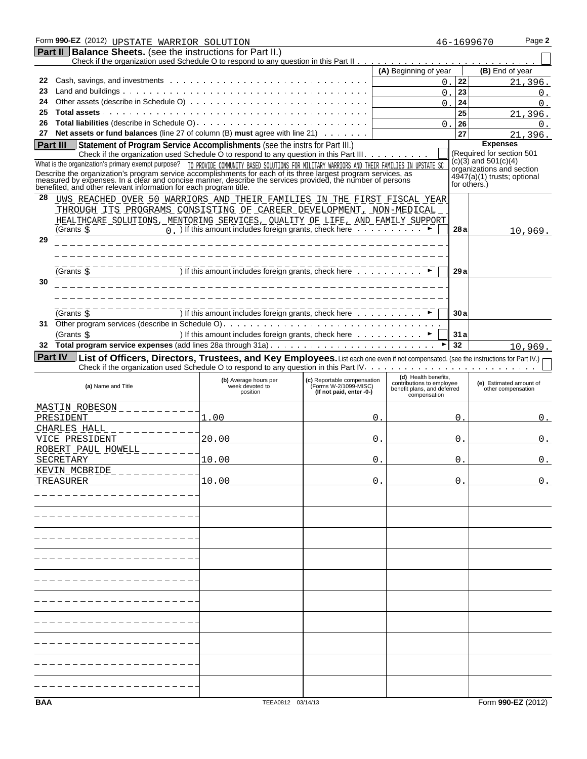|          | Form 990-EZ (2012) UPSTATE WARRIOR SOLUTION                                                                                                                                                                                  |                                                                                    |                                                                                  |                                                                          |                | Page 2<br>46-1699670                                     |
|----------|------------------------------------------------------------------------------------------------------------------------------------------------------------------------------------------------------------------------------|------------------------------------------------------------------------------------|----------------------------------------------------------------------------------|--------------------------------------------------------------------------|----------------|----------------------------------------------------------|
|          | <b>Part II   Balance Sheets.</b> (see the instructions for Part II.)                                                                                                                                                         |                                                                                    |                                                                                  |                                                                          |                |                                                          |
|          |                                                                                                                                                                                                                              |                                                                                    |                                                                                  |                                                                          |                |                                                          |
|          |                                                                                                                                                                                                                              |                                                                                    |                                                                                  | (A) Beginning of year                                                    |                | (B) End of year                                          |
| 22       |                                                                                                                                                                                                                              |                                                                                    |                                                                                  | 0.                                                                       | 22             | 21,396.                                                  |
| 23       |                                                                                                                                                                                                                              |                                                                                    |                                                                                  | 0                                                                        | 23             | 0.                                                       |
| 24       |                                                                                                                                                                                                                              |                                                                                    |                                                                                  | $\Omega$                                                                 | 24             | 0.                                                       |
| 25<br>26 |                                                                                                                                                                                                                              |                                                                                    |                                                                                  |                                                                          | 25             | 21,396.                                                  |
| 27       | Net assets or fund balances (line 27 of column $(B)$ must agree with line 21) $\ldots \ldots$                                                                                                                                |                                                                                    |                                                                                  | $\Omega$                                                                 | 26<br>27       | 0.                                                       |
|          | Statement of Program Service Accomplishments (see the instrs for Part III.)                                                                                                                                                  |                                                                                    |                                                                                  |                                                                          |                | 21,396.<br><b>Expenses</b>                               |
| Part III | Check if the organization used Schedule O to respond to any question in this Part III.                                                                                                                                       |                                                                                    |                                                                                  |                                                                          |                | (Required for section 501                                |
|          | What is the organization's primary exempt purpose? TO PROVIDE COMMUNITY BASED SOLUTIONS FOR MILITARY WARRIORS AND THEIR FAMILIES IN UPSTATE SC                                                                               |                                                                                    |                                                                                  |                                                                          |                | $(c)(3)$ and 501(c)(4)                                   |
|          | Describe the organization's program service accomplishments for each of its three largest program services, as<br>measured by expenses. In a clear and concise manner, describe the services provided, the number of persons |                                                                                    |                                                                                  |                                                                          |                | organizations and section<br>4947(a)(1) trusts; optional |
|          | benefited, and other relevant information for each program title.                                                                                                                                                            |                                                                                    |                                                                                  |                                                                          |                | for others.)                                             |
| 28       | UWS REACHED OVER 50 WARRIORS AND THEIR FAMILIES IN THE FIRST FISCAL YEAR                                                                                                                                                     |                                                                                    |                                                                                  |                                                                          |                |                                                          |
|          | THROUGH ITS PROGRAMS CONSISTING OF CAREER DEVELOPMENT, NON-MEDICAL                                                                                                                                                           |                                                                                    |                                                                                  |                                                                          |                |                                                          |
|          | HEALTHCARE SOLUTIONS, MENTORING SERVICES, QUALITY OF LIFE, AND FAMILY SUPPORT                                                                                                                                                |                                                                                    |                                                                                  |                                                                          |                |                                                          |
|          | (Grants \$                                                                                                                                                                                                                   | $\overline{0}$ ) If this amount includes foreign grants, check here $\overline{0}$ |                                                                                  |                                                                          | 28 a           | 10,969.                                                  |
| 29       |                                                                                                                                                                                                                              |                                                                                    |                                                                                  |                                                                          |                |                                                          |
|          |                                                                                                                                                                                                                              |                                                                                    |                                                                                  |                                                                          |                |                                                          |
|          |                                                                                                                                                                                                                              |                                                                                    |                                                                                  |                                                                          |                |                                                          |
|          | (Grants \$                                                                                                                                                                                                                   |                                                                                    |                                                                                  |                                                                          | 29 a           |                                                          |
| 30       |                                                                                                                                                                                                                              |                                                                                    |                                                                                  |                                                                          |                |                                                          |
|          |                                                                                                                                                                                                                              |                                                                                    |                                                                                  |                                                                          |                |                                                          |
|          |                                                                                                                                                                                                                              |                                                                                    |                                                                                  |                                                                          |                |                                                          |
|          | (Grants ら                                                                                                                                                                                                                    | ) If this amount includes foreign grants, check here                               |                                                                                  |                                                                          | 30a            |                                                          |
| 31       |                                                                                                                                                                                                                              |                                                                                    |                                                                                  |                                                                          |                |                                                          |
|          | (Grants \$                                                                                                                                                                                                                   | ) If this amount includes foreign grants, check here ▶                             |                                                                                  |                                                                          | 31a            |                                                          |
| 32       |                                                                                                                                                                                                                              |                                                                                    |                                                                                  |                                                                          | 32             | 10,969.                                                  |
|          |                                                                                                                                                                                                                              |                                                                                    |                                                                                  |                                                                          |                |                                                          |
|          | <b>Part IV</b> List of Officers, Directors, Trustees, and Key Employees. List each one even if not compensated. (see the instructions for Part IV.)                                                                          |                                                                                    |                                                                                  |                                                                          |                |                                                          |
|          |                                                                                                                                                                                                                              |                                                                                    |                                                                                  |                                                                          |                |                                                          |
|          |                                                                                                                                                                                                                              | (b) Average hours per                                                              |                                                                                  | (d) Health benefits,                                                     |                | (e) Estimated amount of                                  |
|          | (a) Name and Title                                                                                                                                                                                                           | week devoted to<br>position                                                        | (c) Reportable compensation<br>(Forms W-2/1099-MISC)<br>(If not paid, enter -0-) | contributions to employee<br>benefit plans, and deferred<br>compensation |                | other compensation                                       |
|          |                                                                                                                                                                                                                              |                                                                                    |                                                                                  |                                                                          |                |                                                          |
|          | MASTIN ROBESON _ _ _ _ _ _ _ _ _ _                                                                                                                                                                                           |                                                                                    |                                                                                  |                                                                          |                |                                                          |
|          | PRESIDENT                                                                                                                                                                                                                    | . 00                                                                               | 0                                                                                |                                                                          | $\mathsf{0}$ . | 0.                                                       |
|          | CHARLES HALL                                                                                                                                                                                                                 |                                                                                    |                                                                                  |                                                                          |                |                                                          |
|          | VICE PRESIDENT                                                                                                                                                                                                               | 20.00                                                                              | 0                                                                                |                                                                          | $\Omega$       | $0$ .                                                    |
|          | <u>ROBERT PAUL HOWELL _ _ _ _ _</u><br>SECRETARY                                                                                                                                                                             | 10.00                                                                              | 0                                                                                |                                                                          | $\mathsf{O}$ . | 0.                                                       |
|          |                                                                                                                                                                                                                              |                                                                                    |                                                                                  |                                                                          |                |                                                          |
|          | <u>KEVIN MCBRIDE</u><br>TREASURER                                                                                                                                                                                            | 10.00                                                                              | 0 <sup>1</sup>                                                                   |                                                                          | 0.             | 0.                                                       |
|          |                                                                                                                                                                                                                              |                                                                                    |                                                                                  |                                                                          |                |                                                          |
|          |                                                                                                                                                                                                                              |                                                                                    |                                                                                  |                                                                          |                |                                                          |
|          |                                                                                                                                                                                                                              |                                                                                    |                                                                                  |                                                                          |                |                                                          |
|          |                                                                                                                                                                                                                              |                                                                                    |                                                                                  |                                                                          |                |                                                          |
|          |                                                                                                                                                                                                                              |                                                                                    |                                                                                  |                                                                          |                |                                                          |
|          |                                                                                                                                                                                                                              |                                                                                    |                                                                                  |                                                                          |                |                                                          |
|          |                                                                                                                                                                                                                              |                                                                                    |                                                                                  |                                                                          |                |                                                          |
|          |                                                                                                                                                                                                                              |                                                                                    |                                                                                  |                                                                          |                |                                                          |
|          |                                                                                                                                                                                                                              |                                                                                    |                                                                                  |                                                                          |                |                                                          |
|          |                                                                                                                                                                                                                              |                                                                                    |                                                                                  |                                                                          |                |                                                          |
|          |                                                                                                                                                                                                                              |                                                                                    |                                                                                  |                                                                          |                |                                                          |
|          |                                                                                                                                                                                                                              |                                                                                    |                                                                                  |                                                                          |                |                                                          |
|          |                                                                                                                                                                                                                              |                                                                                    |                                                                                  |                                                                          |                |                                                          |
|          |                                                                                                                                                                                                                              |                                                                                    |                                                                                  |                                                                          |                |                                                          |
|          |                                                                                                                                                                                                                              |                                                                                    |                                                                                  |                                                                          |                |                                                          |
|          |                                                                                                                                                                                                                              |                                                                                    |                                                                                  |                                                                          |                |                                                          |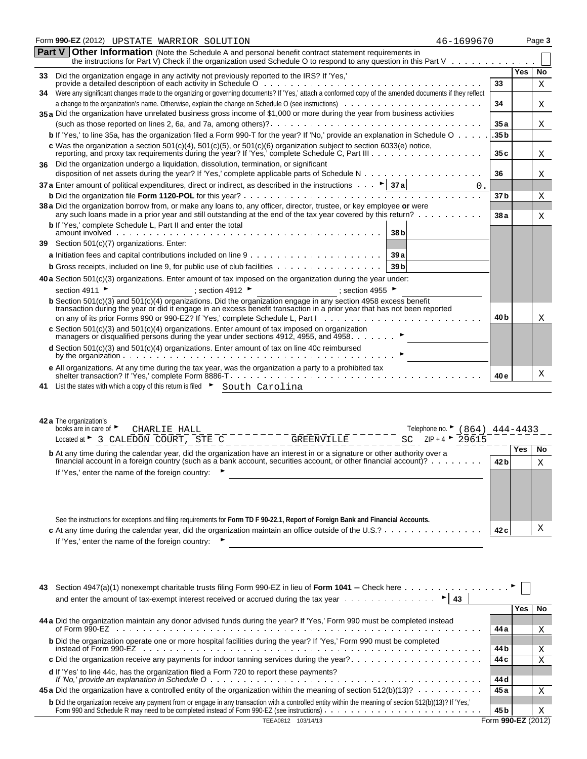|    | Form 990-EZ (2012) UPSTATE WARRIOR SOLUTION<br>46-1699670                                                                                                                                                                                                                                                                             |                 |     | Page 3 |
|----|---------------------------------------------------------------------------------------------------------------------------------------------------------------------------------------------------------------------------------------------------------------------------------------------------------------------------------------|-----------------|-----|--------|
|    | <b>Part V Other Information</b> (Note the Schedule A and personal benefit contract statement requirements in<br>the instructions for Part V) Check if the organization used Schedule O to respond to any question in this Part V $\cdots$ .                                                                                           |                 |     |        |
| 33 | Did the organization engage in any activity not previously reported to the IRS? If 'Yes,'                                                                                                                                                                                                                                             |                 | Yes | No     |
|    | Were any significant changes made to the organizing or governing documents? If 'Yes,' attach a conformed copy of the amended documents if they reflect                                                                                                                                                                                | 33              |     | X      |
| 34 |                                                                                                                                                                                                                                                                                                                                       | 34              |     | Χ      |
|    | 35 a Did the organization have unrelated business gross income of \$1,000 or more during the year from business activities                                                                                                                                                                                                            |                 |     |        |
|    |                                                                                                                                                                                                                                                                                                                                       | 35 a            |     | Χ      |
|    | b If 'Yes,' to line 35a, has the organization filed a Form 990-T for the year? If 'No,' provide an explanation in Schedule O                                                                                                                                                                                                          | .35 b           |     |        |
|    | c Was the organization a section 501(c)(4), 501(c)(5), or 501(c)(6) organization subject to section 6033(e) notice,<br>reporting, and proxy tax requirements during the year? If 'Yes,' complete Schedule C, Part III                                                                                                                 | 35 c            |     | Χ      |
| 36 | Did the organization undergo a liquidation, dissolution, termination, or significant                                                                                                                                                                                                                                                  |                 |     |        |
|    |                                                                                                                                                                                                                                                                                                                                       | 36              |     | Χ      |
|    | 37 a Enter amount of political expenditures, direct or indirect, as described in the instructions $\cdots$ > 37 a<br>0.                                                                                                                                                                                                               |                 |     |        |
|    |                                                                                                                                                                                                                                                                                                                                       | 37 b            |     | Χ      |
|    | 38 a Did the organization borrow from, or make any loans to, any officer, director, trustee, or key employee or were<br>any such loans made in a prior year and still outstanding at the end of the tax year covered by this return?                                                                                                  | 38 a            |     | Χ      |
|    | <b>b</b> If 'Yes,' complete Schedule L, Part II and enter the total<br>amount involved<br>.<br>38 <sub>b</sub>                                                                                                                                                                                                                        |                 |     |        |
|    | 39 Section 501(c)(7) organizations. Enter:                                                                                                                                                                                                                                                                                            |                 |     |        |
|    | 39 a                                                                                                                                                                                                                                                                                                                                  |                 |     |        |
|    | <b>b</b> Gross receipts, included on line 9, for public use of club facilities<br>39 b                                                                                                                                                                                                                                                |                 |     |        |
|    | 40 a Section 501(c)(3) organizations. Enter amount of tax imposed on the organization during the year under:                                                                                                                                                                                                                          |                 |     |        |
|    | section 4911<br>; section 4955<br>; section 4912 ►                                                                                                                                                                                                                                                                                    |                 |     |        |
|    | <b>b</b> Section 501(c)(3) and 501(c)(4) organizations. Did the organization engage in any section 4958 excess benefit<br>transaction during the year or did it engage in an excess benefit transaction in a prior year that has not been reported<br>on any of its prior Forms 990 or 990-EZ? If 'Yes,' complete Schedule L, Part I. | 40 b            |     | Χ      |
|    | c Section $501(c)(3)$ and $501(c)(4)$ organizations. Enter amount of tax imposed on organization                                                                                                                                                                                                                                      |                 |     |        |
|    | managers or disqualified persons during the year under sections 4912, 4955, and 4958.                                                                                                                                                                                                                                                 |                 |     |        |
|    | $d$ Section 501(c)(3) and 501(c)(4) organizations. Enter amount of tax on line 40c reimbursed                                                                                                                                                                                                                                         |                 |     |        |
|    | e All organizations. At any time during the tax year, was the organization a party to a prohibited tax                                                                                                                                                                                                                                | 40 e            |     | Χ      |
|    | 41 List the states with which a copy of this return is filed > South Carolina                                                                                                                                                                                                                                                         |                 |     |        |
|    | 42 a The organization's                                                                                                                                                                                                                                                                                                               |                 |     |        |
|    | books are in care of $\blacktriangleright$<br>Telephone no. $\triangleright$ (864) 444-4433<br>CHARLIE HALL<br>SC $ZIP + 4$<br>29615                                                                                                                                                                                                  |                 |     |        |
|    | Located at $\triangleright$ 3 CALEDON COURT, STE C <sub>_______</sub> _GREENVILLE______                                                                                                                                                                                                                                               |                 | Yes | No     |
|    | <b>b</b> At any time during the calendar year, did the organization have an interest in or a signature or other authority over a<br>financial account in a foreign country (such as a bank account, securities account, or other financial account)?                                                                                  | 42 <sub>b</sub> |     | X      |
|    | If 'Yes,' enter the name of the foreign country:                                                                                                                                                                                                                                                                                      |                 |     |        |
|    | See the instructions for exceptions and filing requirements for Form TD F 90-22.1, Report of Foreign Bank and Financial Accounts.                                                                                                                                                                                                     |                 |     |        |
|    | c At any time during the calendar year, did the organization maintain an office outside of the U.S.?                                                                                                                                                                                                                                  | 42 c            |     | Χ      |
|    | If 'Yes,' enter the name of the foreign country:                                                                                                                                                                                                                                                                                      |                 |     |        |
|    |                                                                                                                                                                                                                                                                                                                                       |                 |     |        |

| 43 | and enter the amount of tax-exempt interest received or accrued during the tax year $\dots \dots \dots \dots$                                                                                                                     |                    |     |           |  |  |
|----|-----------------------------------------------------------------------------------------------------------------------------------------------------------------------------------------------------------------------------------|--------------------|-----|-----------|--|--|
|    |                                                                                                                                                                                                                                   |                    | Yes | <b>No</b> |  |  |
|    | 44 a Did the organization maintain any donor advised funds during the year? If 'Yes,' Form 990 must be completed instead                                                                                                          | 44 a               |     | X         |  |  |
|    | <b>b</b> Did the organization operate one or more hospital facilities during the year? If 'Yes,' Form 990 must be completed                                                                                                       | 44 b               |     | X         |  |  |
|    |                                                                                                                                                                                                                                   | 44 c               |     | Χ         |  |  |
|    | d If 'Yes' to line 44c, has the organization filed a Form 720 to report these payments?                                                                                                                                           | 44 d               |     |           |  |  |
|    | 45 a Did the organization have a controlled entity of the organization within the meaning of section 512(b)(13)?                                                                                                                  | 45 a               |     |           |  |  |
|    | b Did the organization receive any payment from or engage in any transaction with a controlled entity within the meaning of section 512(b)(13)? If 'Yes,'<br>Form 990 and Schedule R may need to be completed instead of Form 990 | 45 b               |     | Χ         |  |  |
|    | 103/14/13                                                                                                                                                                                                                         | Form 990-EZ (2012) |     |           |  |  |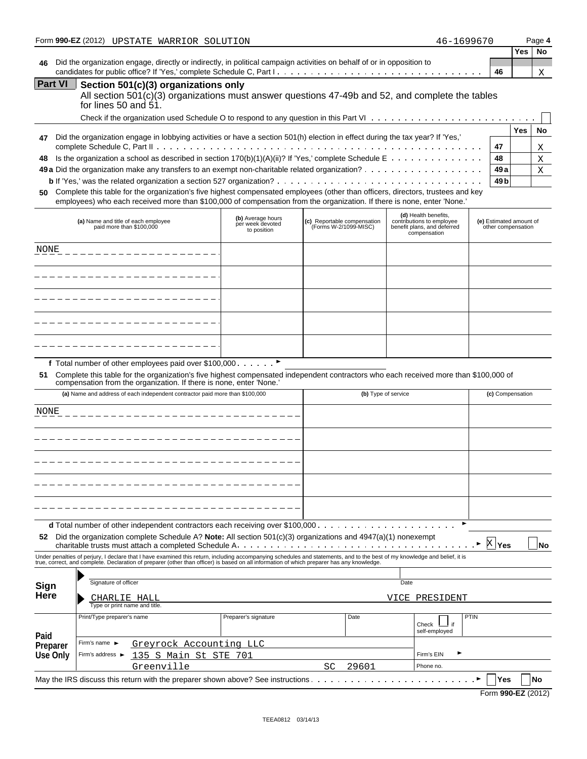|                 | Form 990-EZ (2012) UPSTATE WARRIOR SOLUTION                                                                                                                                                                                                                                                                                                                                                                                     |                                                      |                                                      | 46-1699670                                                                                       |                                               |     | Page 4 |
|-----------------|---------------------------------------------------------------------------------------------------------------------------------------------------------------------------------------------------------------------------------------------------------------------------------------------------------------------------------------------------------------------------------------------------------------------------------|------------------------------------------------------|------------------------------------------------------|--------------------------------------------------------------------------------------------------|-----------------------------------------------|-----|--------|
| 46              | Did the organization engage, directly or indirectly, in political campaign activities on behalf of or in opposition to                                                                                                                                                                                                                                                                                                          |                                                      |                                                      |                                                                                                  |                                               | Yes | No     |
|                 |                                                                                                                                                                                                                                                                                                                                                                                                                                 |                                                      |                                                      |                                                                                                  | 46                                            |     | Χ      |
| <b>Part VI</b>  | Section 501(c)(3) organizations only<br>All section 501(c)(3) organizations must answer questions 47-49b and 52, and complete the tables<br>for lines 50 and $51.$                                                                                                                                                                                                                                                              |                                                      |                                                      |                                                                                                  |                                               |     |        |
|                 |                                                                                                                                                                                                                                                                                                                                                                                                                                 |                                                      |                                                      |                                                                                                  |                                               |     |        |
| 47              | Did the organization engage in lobbying activities or have a section 501(h) election in effect during the tax year? If 'Yes,'                                                                                                                                                                                                                                                                                                   |                                                      |                                                      |                                                                                                  |                                               | Yes | No     |
|                 |                                                                                                                                                                                                                                                                                                                                                                                                                                 |                                                      |                                                      |                                                                                                  | 47                                            |     | Χ      |
| 48              |                                                                                                                                                                                                                                                                                                                                                                                                                                 |                                                      |                                                      |                                                                                                  | 48                                            |     | Χ      |
|                 |                                                                                                                                                                                                                                                                                                                                                                                                                                 |                                                      |                                                      |                                                                                                  | 49 a                                          |     | Χ      |
| 50              | <b>b</b> If 'Yes,' was the related organization a section 527 organization? $\ldots \ldots \ldots \ldots \ldots \ldots \ldots \ldots \ldots \ldots \ldots \ldots$<br>Complete this table for the organization's five highest compensated employees (other than officers, directors, trustees and key<br>employees) who each received more than \$100,000 of compensation from the organization. If there is none, enter 'None.' |                                                      |                                                      |                                                                                                  | 49 b                                          |     |        |
|                 | (a) Name and title of each employee<br>paid more than \$100,000                                                                                                                                                                                                                                                                                                                                                                 | (b) Average hours<br>per week devoted<br>to position | (c) Reportable compensation<br>(Forms W-2/1099-MISC) | (d) Health benefits,<br>contributions to employee<br>benefit plans, and deferred<br>compensation | (e) Estimated amount of<br>other compensation |     |        |
| NONE            |                                                                                                                                                                                                                                                                                                                                                                                                                                 |                                                      |                                                      |                                                                                                  |                                               |     |        |
|                 |                                                                                                                                                                                                                                                                                                                                                                                                                                 |                                                      |                                                      |                                                                                                  |                                               |     |        |
|                 |                                                                                                                                                                                                                                                                                                                                                                                                                                 |                                                      |                                                      |                                                                                                  |                                               |     |        |
|                 |                                                                                                                                                                                                                                                                                                                                                                                                                                 |                                                      |                                                      |                                                                                                  |                                               |     |        |
|                 |                                                                                                                                                                                                                                                                                                                                                                                                                                 |                                                      |                                                      |                                                                                                  |                                               |     |        |
|                 | f Total number of other employees paid over \$100,000 ▶<br>51 Complete this table for the organization's five highest compensated independent contractors who each received more than \$100,000 of<br>compensation from the organization. If there is none, enter 'None.'<br>(a) Name and address of each independent contractor paid more than \$100,000                                                                       |                                                      |                                                      | (b) Type of service                                                                              | (c) Compensation                              |     |        |
| NONE            |                                                                                                                                                                                                                                                                                                                                                                                                                                 |                                                      |                                                      |                                                                                                  |                                               |     |        |
|                 |                                                                                                                                                                                                                                                                                                                                                                                                                                 |                                                      |                                                      |                                                                                                  |                                               |     |        |
|                 |                                                                                                                                                                                                                                                                                                                                                                                                                                 |                                                      |                                                      |                                                                                                  |                                               |     |        |
|                 |                                                                                                                                                                                                                                                                                                                                                                                                                                 |                                                      |                                                      |                                                                                                  |                                               |     |        |
|                 |                                                                                                                                                                                                                                                                                                                                                                                                                                 |                                                      |                                                      |                                                                                                  |                                               |     |        |
|                 | <b>d</b> Total number of other independent contractors each receiving over \$100,000 $\ldots$<br>52 Did the organization complete Schedule A? Note: All section $501(c)(3)$ organizations and $4947(a)(1)$ nonexempt                                                                                                                                                                                                            |                                                      |                                                      |                                                                                                  | <b>X</b> Yes                                  |     | No     |
|                 | Under penalties of perjury, I declare that I have examined this return, including accompanying schedules and statements, and to the best of my knowledge and belief, it is<br>true, correct, and complete. Declaration of preparer (other than officer) is based on all information of which preparer has any knowledge.                                                                                                        |                                                      |                                                      |                                                                                                  |                                               |     |        |
|                 |                                                                                                                                                                                                                                                                                                                                                                                                                                 |                                                      |                                                      |                                                                                                  |                                               |     |        |
| Sign<br>Here    | Signature of officer<br>CHARLIE HALL                                                                                                                                                                                                                                                                                                                                                                                            |                                                      |                                                      | Date<br>VICE PRESIDENT                                                                           |                                               |     |        |
|                 | Type or print name and title.<br>Print/Type preparer's name                                                                                                                                                                                                                                                                                                                                                                     | Preparer's signature                                 | Date                                                 |                                                                                                  | PTIN                                          |     |        |
| Paid            |                                                                                                                                                                                                                                                                                                                                                                                                                                 |                                                      |                                                      | Check<br>self-employed                                                                           |                                               |     |        |
| Preparer        | Firm's name ▶<br>Greyrock Accounting LLC                                                                                                                                                                                                                                                                                                                                                                                        |                                                      |                                                      |                                                                                                  |                                               |     |        |
| <b>Use Only</b> | Firm's address ▶<br>.35 S Main St STE 701                                                                                                                                                                                                                                                                                                                                                                                       |                                                      |                                                      | Firm's EIN                                                                                       |                                               |     |        |
|                 | Greenville                                                                                                                                                                                                                                                                                                                                                                                                                      |                                                      | 29601<br>SC                                          | Phone no.                                                                                        |                                               |     |        |
|                 | May the IRS discuss this return with the preparer shown above? See instructions                                                                                                                                                                                                                                                                                                                                                 |                                                      |                                                      |                                                                                                  | Yes                                           |     | No     |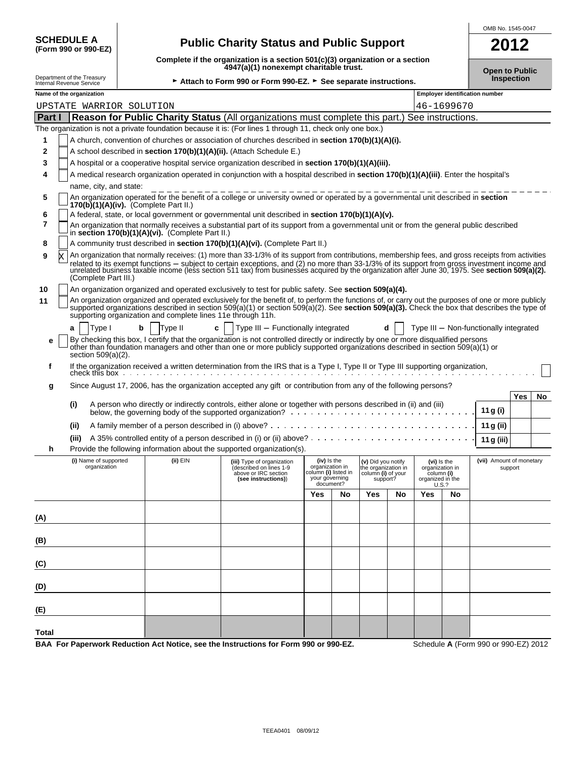| <b>SCHEDULE A</b>   |  |  |
|---------------------|--|--|
| (Form 990 or 990-EZ |  |  |

OMB No. 1545-0047

|                                                                   | <b>SCHEDULE A</b>                                      | (Form 990 or 990-EZ)                     |                                                             | <b>Public Charity Status and Public Support</b>                                                                                                                                                                                                                                                       |                                                                                       |    |                                                                            |    |                                                                           |                       |                                        | 2012 |    |
|-------------------------------------------------------------------|--------------------------------------------------------|------------------------------------------|-------------------------------------------------------------|-------------------------------------------------------------------------------------------------------------------------------------------------------------------------------------------------------------------------------------------------------------------------------------------------------|---------------------------------------------------------------------------------------|----|----------------------------------------------------------------------------|----|---------------------------------------------------------------------------|-----------------------|----------------------------------------|------|----|
|                                                                   |                                                        |                                          |                                                             | Complete if the organization is a section 501(c)(3) organization or a section<br>4947(a)(1) nonexempt charitable trust.                                                                                                                                                                               |                                                                                       |    |                                                                            |    |                                                                           |                       |                                        |      |    |
|                                                                   | Department of the Treasury<br>Internal Revenue Service |                                          |                                                             | Attach to Form 990 or Form 990-EZ. > See separate instructions.                                                                                                                                                                                                                                       |                                                                                       |    |                                                                            |    |                                                                           | <b>Open to Public</b> | <b>Inspection</b>                      |      |    |
| Name of the organization<br><b>Employer identification number</b> |                                                        |                                          |                                                             |                                                                                                                                                                                                                                                                                                       |                                                                                       |    |                                                                            |    |                                                                           |                       |                                        |      |    |
|                                                                   |                                                        | UPSTATE WARRIOR SOLUTION                 |                                                             |                                                                                                                                                                                                                                                                                                       |                                                                                       |    |                                                                            |    |                                                                           | 46-1699670            |                                        |      |    |
| Part I                                                            |                                                        |                                          |                                                             | Reason for Public Charity Status (All organizations must complete this part.) See instructions.<br>The organization is not a private foundation because it is: (For lines 1 through 11, check only one box.)                                                                                          |                                                                                       |    |                                                                            |    |                                                                           |                       |                                        |      |    |
| 1                                                                 |                                                        |                                          |                                                             | A church, convention of churches or association of churches described in <b>section 170(b)(1)(A)(i).</b>                                                                                                                                                                                              |                                                                                       |    |                                                                            |    |                                                                           |                       |                                        |      |    |
| 2                                                                 |                                                        |                                          |                                                             | A school described in section 170(b)(1)(A)(ii). (Attach Schedule E.)                                                                                                                                                                                                                                  |                                                                                       |    |                                                                            |    |                                                                           |                       |                                        |      |    |
| 3                                                                 |                                                        |                                          |                                                             | A hospital or a cooperative hospital service organization described in section 170(b)(1)(A)(iii).                                                                                                                                                                                                     |                                                                                       |    |                                                                            |    |                                                                           |                       |                                        |      |    |
| 4                                                                 |                                                        | name, city, and state:                   |                                                             | A medical research organization operated in conjunction with a hospital described in section 170(b)(1)(A)(iii). Enter the hospital's                                                                                                                                                                  |                                                                                       |    |                                                                            |    |                                                                           |                       |                                        |      |    |
| 5                                                                 |                                                        | $170(b)(1)(A)(iv)$ . (Complete Part II.) |                                                             | An organization operated for the benefit of a college or university owned or operated by a governmental unit described in section                                                                                                                                                                     |                                                                                       |    |                                                                            |    |                                                                           |                       |                                        |      |    |
| 6                                                                 |                                                        |                                          |                                                             | A federal, state, or local government or governmental unit described in section 170(b)(1)(A)(v).                                                                                                                                                                                                      |                                                                                       |    |                                                                            |    |                                                                           |                       |                                        |      |    |
| 7<br>8                                                            |                                                        |                                          | in section 170(b)(1)(A)(vi). (Complete Part II.)            | An organization that normally receives a substantial part of its support from a governmental unit or from the general public described<br>A community trust described in section 170(b)(1)(A)(vi). (Complete Part II.)                                                                                |                                                                                       |    |                                                                            |    |                                                                           |                       |                                        |      |    |
| 9                                                                 |                                                        |                                          |                                                             | An organization that normally receives: (1) more than 33-1/3% of its support from contributions, membership fees, and gross receipts from activities                                                                                                                                                  |                                                                                       |    |                                                                            |    |                                                                           |                       |                                        |      |    |
|                                                                   |                                                        | (Complete Part III.)                     |                                                             | related to its exempt functions - subject to certain exceptions, and (2) no more than 33-1/3% of its support from gross investment income and<br>unrelated business taxable income (less section 511 tax) from businesses acquired by the organization after June 30, 1975. See section 509(a)(2).    |                                                                                       |    |                                                                            |    |                                                                           |                       |                                        |      |    |
| 10                                                                |                                                        |                                          |                                                             | An organization organized and operated exclusively to test for public safety. See section 509(a)(4).                                                                                                                                                                                                  |                                                                                       |    |                                                                            |    |                                                                           |                       |                                        |      |    |
| 11                                                                |                                                        |                                          | supporting organization and complete lines 11e through 11h. | An organization organized and operated exclusively for the benefit of, to perform the functions of, or carry out the purposes of one or more publicly<br>supported organizations described in section 509(a)(1) or section 509(a)(2). See section 509(a)(3). Check the box that describes the type of |                                                                                       |    |                                                                            |    |                                                                           |                       |                                        |      |    |
|                                                                   | a                                                      | Type I                                   | b<br>Type II<br>c                                           | Type III - Functionally integrated                                                                                                                                                                                                                                                                    |                                                                                       |    |                                                                            |    |                                                                           |                       | Type III - Non-functionally integrated |      |    |
| е                                                                 |                                                        | section $509(a)(2)$ .                    |                                                             | By checking this box, I certify that the organization is not controlled directly or indirectly by one or more disqualified persons<br>other than foundation managers and other than one or more publicly supported organizations described in section 509(a)(1) or                                    |                                                                                       |    |                                                                            |    |                                                                           |                       |                                        |      |    |
| f                                                                 |                                                        |                                          |                                                             | If the organization received a written determination from the IRS that is a Type I, Type II or Type III supporting organization, check this box                                                                                                                                                       |                                                                                       |    |                                                                            |    |                                                                           |                       |                                        |      |    |
| g                                                                 |                                                        |                                          |                                                             | Since August 17, 2006, has the organization accepted any gift or contribution from any of the following persons?                                                                                                                                                                                      |                                                                                       |    |                                                                            |    |                                                                           |                       |                                        |      |    |
|                                                                   | (i)                                                    |                                          |                                                             | A person who directly or indirectly controls, either alone or together with persons described in (ii) and (iii)                                                                                                                                                                                       |                                                                                       |    |                                                                            |    |                                                                           |                       |                                        | Yes  | No |
|                                                                   |                                                        |                                          |                                                             |                                                                                                                                                                                                                                                                                                       |                                                                                       |    |                                                                            |    |                                                                           |                       | 11 g (i)                               |      |    |
|                                                                   | (ii)                                                   |                                          |                                                             |                                                                                                                                                                                                                                                                                                       |                                                                                       |    |                                                                            |    |                                                                           |                       | 11 g (ii)                              |      |    |
|                                                                   | (iii)                                                  |                                          |                                                             |                                                                                                                                                                                                                                                                                                       |                                                                                       |    |                                                                            |    |                                                                           |                       | 11 g (iii)                             |      |    |
| h                                                                 |                                                        | (i) Name of supported                    | (ii) EIN                                                    | Provide the following information about the supported organization(s).                                                                                                                                                                                                                                |                                                                                       |    |                                                                            |    |                                                                           |                       | (vii) Amount of monetary               |      |    |
|                                                                   |                                                        | organization                             |                                                             | (iii) Type of organization<br>(described on lines 1-9<br>above or IRC section<br>(see instructions))                                                                                                                                                                                                  | (iv) is the<br>organization in<br>column (i) listed in<br>your governing<br>document? |    | (v) Did you notify<br>he organization in<br>column (i) of your<br>support? |    | (vi) is the<br>organization in<br>column (i)<br>organized in the<br>U.S.? |                       | support                                |      |    |
|                                                                   |                                                        |                                          |                                                             |                                                                                                                                                                                                                                                                                                       | Yes                                                                                   | No | Yes                                                                        | No | Yes                                                                       | No                    |                                        |      |    |
| (A)                                                               |                                                        |                                          |                                                             |                                                                                                                                                                                                                                                                                                       |                                                                                       |    |                                                                            |    |                                                                           |                       |                                        |      |    |
|                                                                   |                                                        |                                          |                                                             |                                                                                                                                                                                                                                                                                                       |                                                                                       |    |                                                                            |    |                                                                           |                       |                                        |      |    |
| (B)                                                               |                                                        |                                          |                                                             |                                                                                                                                                                                                                                                                                                       |                                                                                       |    |                                                                            |    |                                                                           |                       |                                        |      |    |
| (C)                                                               |                                                        |                                          |                                                             |                                                                                                                                                                                                                                                                                                       |                                                                                       |    |                                                                            |    |                                                                           |                       |                                        |      |    |
| (D)                                                               |                                                        |                                          |                                                             |                                                                                                                                                                                                                                                                                                       |                                                                                       |    |                                                                            |    |                                                                           |                       |                                        |      |    |
| (E)                                                               |                                                        |                                          |                                                             |                                                                                                                                                                                                                                                                                                       |                                                                                       |    |                                                                            |    |                                                                           |                       |                                        |      |    |
| Total                                                             |                                                        |                                          |                                                             |                                                                                                                                                                                                                                                                                                       |                                                                                       |    |                                                                            |    |                                                                           |                       |                                        |      |    |
|                                                                   |                                                        |                                          |                                                             | BAA For Paperwork Reduction Act Notice, see the Instructions for Form 990 or 990-EZ.                                                                                                                                                                                                                  |                                                                                       |    |                                                                            |    |                                                                           |                       | Schedule A (Form 990 or 990-EZ) 2012   |      |    |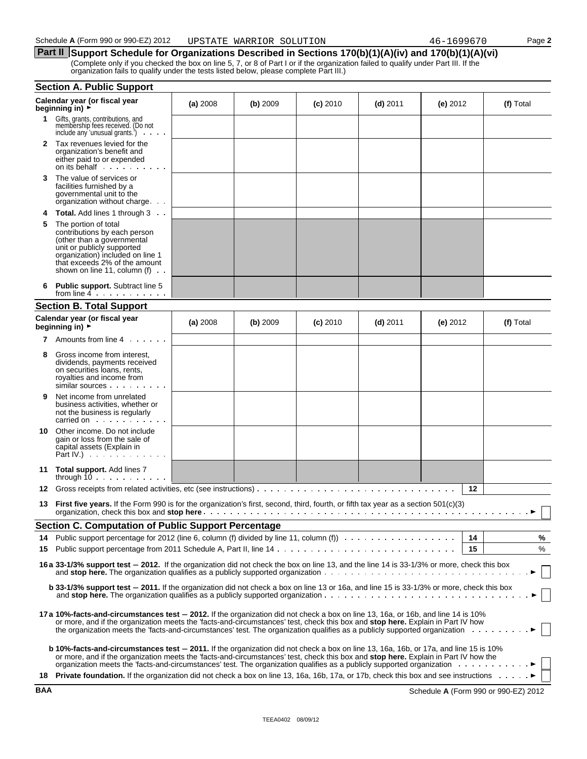# **Part II** Support Schedule for Organizations Described in Sections 170(b)(1)(A)(iv) and 170(b)(1)(A)(vi) (Complete only if you checked the box on line 5, 7, or 8 of Part I or if the organization failed to qualify under Part III. If the

| organization fails to qualify under the tests listed below, please complete Part III.) |
|----------------------------------------------------------------------------------------|
|----------------------------------------------------------------------------------------|

|    | <b>Section A. Public Support</b>                                                                                                                                                                                                                                                                                                                                                                   |          |          |            |            |            |    |           |
|----|----------------------------------------------------------------------------------------------------------------------------------------------------------------------------------------------------------------------------------------------------------------------------------------------------------------------------------------------------------------------------------------------------|----------|----------|------------|------------|------------|----|-----------|
|    | Calendar year (or fiscal year<br>beginning in) >                                                                                                                                                                                                                                                                                                                                                   | (a) 2008 | (b) 2009 | $(c)$ 2010 | $(d)$ 2011 | (e) $2012$ |    | (f) Total |
| 1. | Gifts, grants, contributions, and<br>membership fees received. (Do not<br>include any 'unusual grants.')                                                                                                                                                                                                                                                                                           |          |          |            |            |            |    |           |
| 2  | Tax revenues levied for the<br>organization's benefit and<br>either paid to or expended                                                                                                                                                                                                                                                                                                            |          |          |            |            |            |    |           |
| 3  | The value of services or<br>facilities furnished by a<br>governmental unit to the<br>organization without charge.                                                                                                                                                                                                                                                                                  |          |          |            |            |            |    |           |
| 4  | <b>Total.</b> Add lines 1 through 3                                                                                                                                                                                                                                                                                                                                                                |          |          |            |            |            |    |           |
| 5  | The portion of total<br>contributions by each person<br>(other than a governmental<br>unit or publicly supported<br>organization) included on line 1<br>that exceeds 2% of the amount<br>shown on line 11, column $(f)$ .                                                                                                                                                                          |          |          |            |            |            |    |           |
| 6  | <b>Public support.</b> Subtract line 5<br>from line $4 \cdot \cdot \cdot \cdot \cdot \cdot \cdot$                                                                                                                                                                                                                                                                                                  |          |          |            |            |            |    |           |
|    | <b>Section B. Total Support</b>                                                                                                                                                                                                                                                                                                                                                                    |          |          |            |            |            |    |           |
|    | Calendar year (or fiscal year<br>beginning in) >                                                                                                                                                                                                                                                                                                                                                   | (a) 2008 | (b) 2009 | $(c)$ 2010 | $(d)$ 2011 | (e) $2012$ |    | (f) Total |
| 7  | Amounts from line 4                                                                                                                                                                                                                                                                                                                                                                                |          |          |            |            |            |    |           |
| 8  | Gross income from interest,<br>dividends, payments received<br>on securities loans, rents,<br>royalties and income from<br>similar sources                                                                                                                                                                                                                                                         |          |          |            |            |            |    |           |
| 9  | Net income from unrelated<br>business activities, whether or<br>not the business is regularly<br>carried on example and the set of the set of the set of the set of the set of the set of the set of the set of                                                                                                                                                                                    |          |          |            |            |            |    |           |
| 10 | Other income. Do not include<br>gain or loss from the sale of<br>capital assets (Explain in<br>Part IV.) $\cdots$                                                                                                                                                                                                                                                                                  |          |          |            |            |            |    |           |
|    | 11 Total support. Add lines 7<br>through $10$                                                                                                                                                                                                                                                                                                                                                      |          |          |            |            |            |    |           |
| 12 |                                                                                                                                                                                                                                                                                                                                                                                                    |          |          |            |            |            | 12 |           |
| 13 | <b>First five years.</b> If the Form 990 is for the organization's first, second, third, fourth, or fifth tax year as a section 501(c)(3)                                                                                                                                                                                                                                                          |          |          |            |            |            |    |           |
|    | <b>Section C. Computation of Public Support Percentage</b>                                                                                                                                                                                                                                                                                                                                         |          |          |            |            |            |    |           |
| 14 | Public support percentage for 2012 (line 6, column (f) divided by line 11, column (f)                                                                                                                                                                                                                                                                                                              |          |          |            |            |            | 14 | %         |
| 15 |                                                                                                                                                                                                                                                                                                                                                                                                    |          |          |            |            |            | 15 | %         |
|    | 16 a 33-1/3% support test - 2012. If the organization did not check the box on line 13, and the line 14 is 33-1/3% or more, check this box<br>and stop here. The organization qualifies as a publicly supported organization $\cdots$ , , , , , , ,                                                                                                                                                |          |          |            |            |            |    |           |
|    | <b>b 33-1/3% support test – 2011.</b> If the organization did not check a box on line 13 or 16a, and line 15 is 33-1/3% or more, check this box                                                                                                                                                                                                                                                    |          |          |            |            |            |    |           |
|    | 17 a 10%-facts-and-circumstances test - 2012. If the organization did not check a box on line 13, 16a, or 16b, and line 14 is 10%<br>or more, and if the organization meets the 'facts-and-circumstances' test, check this box and stop here. Explain in Part IV how<br>the organization meets the 'facts-and-circumstances' test. The organization qualifies as a publicly supported organization |          |          |            |            |            |    |           |
|    | <b>b 10%-facts-and-circumstances test - 2011.</b> If the organization did not check a box on line 13, 16a, 16b, or 17a, and line 15 is 10%<br>or more, and if the organization meets the 'facts-and-circumstances' test, check this box and stop here. Explain in Part IV how the                                                                                                                  |          |          |            |            |            |    |           |
|    | 18 Private foundation. If the organization did not check a box on line 13, 16a, 16b, 17a, or 17b, check this box and see instructions                                                                                                                                                                                                                                                              |          |          |            |            |            |    |           |

**BAA** Schedule **A** (Form 990 or 990-EZ) 2012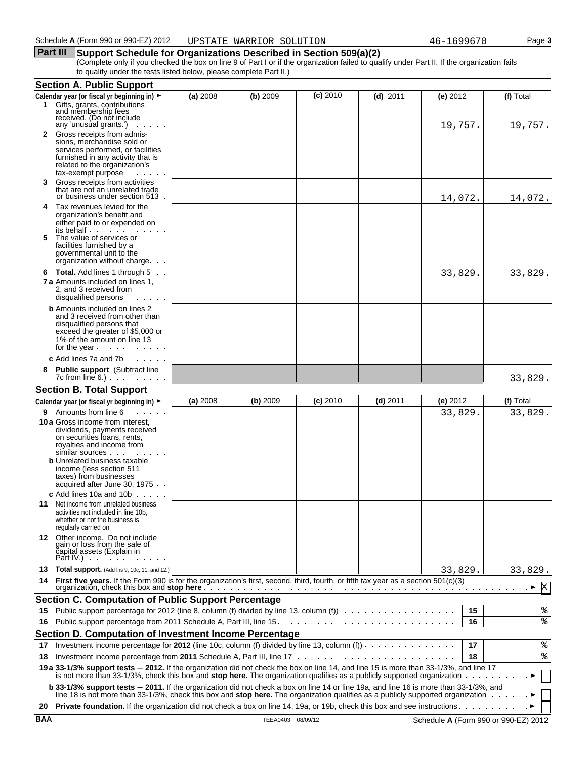## **Part III** Support Schedule for Organizations Described in Section 509(a)(2)

(Complete only if you checked the box on line 9 of Part I or if the organization failed to qualify under Part II. If the organization fails to qualify under the tests listed below, please complete Part II.)

|         | <b>Section A. Public Support</b>                                                                                                                                                                                                                                                                                           |          |          |            |            |            |    |           |
|---------|----------------------------------------------------------------------------------------------------------------------------------------------------------------------------------------------------------------------------------------------------------------------------------------------------------------------------|----------|----------|------------|------------|------------|----|-----------|
|         | Calendar year (or fiscal yr beginning in) ►                                                                                                                                                                                                                                                                                | (a) 2008 | (b) 2009 | $(c)$ 2010 | $(d)$ 2011 | (e) $2012$ |    | (f) Total |
|         | 1 Gifts, grants, contributions<br>and membership fees<br>received. (Do not include<br>any 'unusual grants') $\cdots$                                                                                                                                                                                                       |          |          |            |            | 19,757.    |    | 19,757.   |
|         | 2 Gross receipts from admis-<br>sions, merchandise sold or<br>services performed, or facilities<br>furnished in any activity that is<br>related to the organization's<br>tax-exempt purpose                                                                                                                                |          |          |            |            |            |    |           |
| 3.      | Gross receipts from activities<br>that are not an unrelated trade<br>or business under section 513.                                                                                                                                                                                                                        |          |          |            |            | 14,072.    |    | 14,072.   |
| 4<br>5. | Tax revenues levied for the<br>organization's benefit and<br>either paid to or expended on<br>its behalf<br>The value of services or<br>facilities furnished by a                                                                                                                                                          |          |          |            |            |            |    |           |
|         | governmental unit to the<br>organization without charge.                                                                                                                                                                                                                                                                   |          |          |            |            |            |    |           |
|         | 6 Total. Add lines 1 through 5<br><b>7 a</b> Amounts included on lines 1.<br>2, and 3 received from<br>disqualified persons                                                                                                                                                                                                |          |          |            |            | 33,829.    |    | 33,829.   |
|         | <b>b</b> Amounts included on lines 2<br>and 3 received from other than<br>disqualified persons that<br>exceed the greater of \$5,000 or<br>1% of the amount on line 13<br>for the year $\ldots$ $\ldots$                                                                                                                   |          |          |            |            |            |    |           |
|         | <b>c</b> Add lines 7a and 7b $\ldots$                                                                                                                                                                                                                                                                                      |          |          |            |            |            |    |           |
| 8       | <b>Public support</b> (Subtract line<br>$7c$ from line 6.) $\ldots$ $\ldots$ $\ldots$                                                                                                                                                                                                                                      |          |          |            |            |            |    | 33,829.   |
|         | <b>Section B. Total Support</b>                                                                                                                                                                                                                                                                                            |          |          |            |            |            |    |           |
|         | Calendar year (or fiscal yr beginning in) ►                                                                                                                                                                                                                                                                                | (a) 2008 | (b) 2009 | $(c)$ 2010 | $(d)$ 2011 | (e) 2012   |    | (f) Total |
|         | <b>9</b> Amounts from line 6<br>10 a Gross income from interest,<br>dividends, payments received<br>on securities loans, rents,<br>royalties and income from<br>$similar$ sources $\ldots$ .<br><b>b</b> Unrelated business taxable<br>income (less section 511<br>taxes) from businesses<br>acquired after June 30, 1975. |          |          |            |            | 33,829.    |    | 33,829.   |
|         | <b>c</b> Add lines 10a and 10b $\ldots$<br><b>11</b> Net income from unrelated business<br>activities not included in line 10b,<br>whether or not the business is<br>regularly carried on                                                                                                                                  |          |          |            |            |            |    |           |
|         | 12 Other income. Do not include<br>gain or loss from the sale of<br>čapital assets (Explain in<br>Part IV.) $\cdots$                                                                                                                                                                                                       |          |          |            |            |            |    |           |
| 13      | <b>Total support.</b> (Add Ins 9, 10c, 11, and 12.)                                                                                                                                                                                                                                                                        |          |          |            |            | 33,829.    |    | 33,829.   |
| 14      | First five years. If the Form 990 is for the organization's first, second, third, fourth, or fifth tax year as a section 501(c)(3)                                                                                                                                                                                         |          |          |            |            |            |    | X         |
|         | <b>Section C. Computation of Public Support Percentage</b>                                                                                                                                                                                                                                                                 |          |          |            |            |            |    |           |
| 15.     | Public support percentage for 2012 (line 8, column (f) divided by line 13, column (f)                                                                                                                                                                                                                                      |          |          |            |            |            | 15 | ి         |
| 16      |                                                                                                                                                                                                                                                                                                                            |          |          |            |            |            | 16 | ి         |
|         | Section D. Computation of Investment Income Percentage                                                                                                                                                                                                                                                                     |          |          |            |            |            |    |           |
| 17      | Investment income percentage for 2012 (line 10c, column (f) divided by line 13, column (f)) $\cdots$                                                                                                                                                                                                                       |          |          |            |            |            | 17 | ್ಠಿ       |
| 18      |                                                                                                                                                                                                                                                                                                                            |          |          |            |            |            | 18 | ి         |
|         | 19 a 33-1/3% support tests - 2012. If the organization did not check the box on line 14, and line 15 is more than 33-1/3%, and line 17<br>is not more than 33-1/3%, check this box and <b>stop here.</b> The organization qualifies as a publicly supported organization $\ldots$                                          |          |          |            |            |            |    |           |
|         | b 33-1/3% support tests - 2011. If the organization did not check a box on line 14 or line 19a, and line 16 is more than 33-1/3%, and<br>line 18 is not more than 33-1/3%, check this box and stop here. The organization qualifies as a publicly supported organization                                                   |          |          |            |            |            |    |           |
| 20      | <b>Private foundation.</b> If the organization did not check a box on line 14, 19a, or 19b, check this box and see instructions.                                                                                                                                                                                           |          |          |            |            |            |    |           |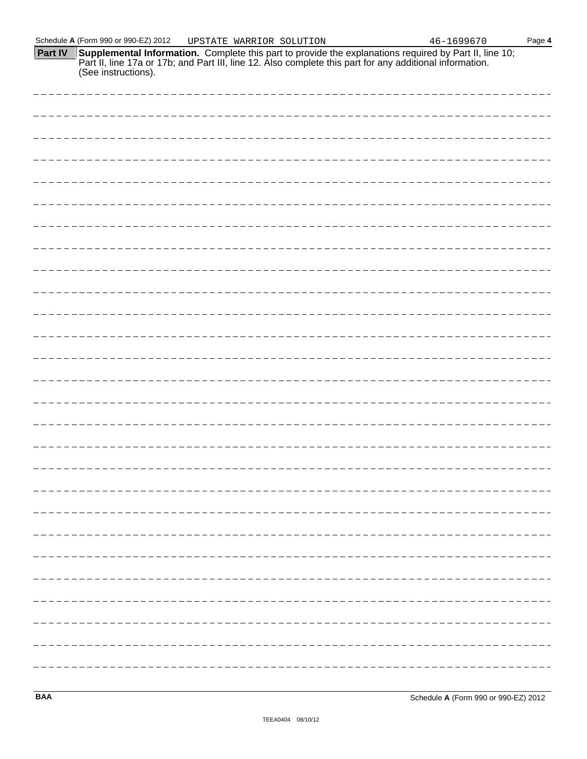(See instructions).

**Part IV Supplemental Information.** Complete this part to provide the explanations required by Part II, line 10; Part II, line 17a or 17b; and Part III, line 12. Also complete this part for any additional information.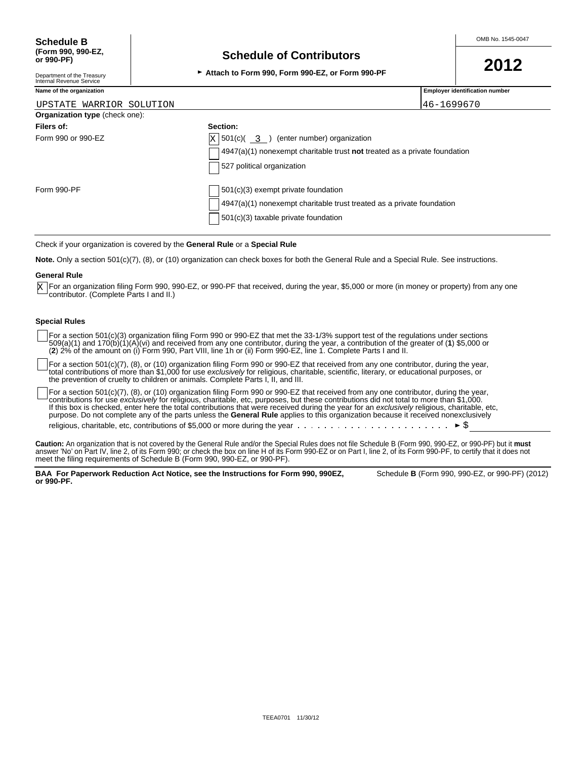# **Schedule of Contributors**

<sup>G</sup>**Attach to Form 990, Form 990-EZ, or Form 990-PF 2012**

**Employer identification number** 

Department of the Treasury Internal Revenue Service

| Name of the organization |  |  |  |
|--------------------------|--|--|--|
|                          |  |  |  |

| UPSTATE WARRIOR SOLUTION              |                                                                                          | 46-1699670 |
|---------------------------------------|------------------------------------------------------------------------------------------|------------|
| <b>Organization type</b> (check one): |                                                                                          |            |
| Filers of:                            | Section:                                                                                 |            |
| Form 990 or 990-EZ                    | $\vert$ X $\vert$ 501(c)( $\frac{3}{2}$ ) (enter number) organization                    |            |
|                                       | $\vert$ 4947(a)(1) nonexempt charitable trust <b>not</b> treated as a private foundation |            |
|                                       | 527 political organization                                                               |            |
| Form 990-PF                           | 501(c)(3) exempt private foundation                                                      |            |
|                                       | $4947(a)(1)$ nonexempt charitable trust treated as a private foundation                  |            |
|                                       | 501(c)(3) taxable private foundation                                                     |            |

Check if your organization is covered by the **General Rule** or a **Special Rule**

**Note.** Only a section 501(c)(7), (8), or (10) organization can check boxes for both the General Rule and a Special Rule. See instructions.

#### **General Rule**

For an organization filing Form 990, 990-EZ, or 990-PF that received, during the year, \$5,000 or more (in money or property) from any one X For an organization filing Form 990, 9<br>contributor. (Complete Parts I and II.)

### **Special Rules**

For a section 501(c)(3) organization filing Form 990 or 990-EZ that met the 33-1/3% support test of the regulations under sections 509(a)(1) and 170(b)(1)(A)(vi) and received from any one contributor, during the year, a contribution of the greater of (**1**) \$5,000 or (**2**) 2% of the amount on (i) Form 990, Part VIII, line 1h or (ii) Form 990-EZ, line 1. Complete Parts I and II.

For a section 501(c)(7), (8), or (10) organization filing Form 990 or 990-EZ that received from any one contributor, during the year, total contributions of more than \$1,000 for use *exclusively* for religious, charitable, scientific, literary, or educational purposes, or the prevention of cruelty to children or animals. Complete Parts I, II, and III.

For a section 501(c)(7), (8), or (10) organization filing Form 990 or 990-EZ that received from any one contributor, during the year, contributions for use *exclusively* for religious, charitable, etc, purposes, but these contributions did not total to more than \$1,000. If this box is checked, enter here the total contributions that were received during the year for an *exclusively* religious, charitable, etc, purpose. Do not complete any of the parts unless the **General Rule** applies to this organization because it received nonexclusively religious, charitable, etc, contributions of \$5,000 or more during the year  $\ldots \ldots \ldots \ldots \ldots \ldots \ldots \ldots \vdash \mathcal{S}$ 

**Caution:** An organization that is not covered by the General Rule and/or the Special Rules does not file Schedule B (Form 990, 990-EZ, or 990-PF) but it **must** answer 'No' on Part IV, line 2, of its Form 990; or check the box on line H of its Form 990-EZ or on Part I, line 2, of its Form 990-PF, to certify that it does not meet the filing requirements of Schedule B (Form 990, 990-EZ, or 990-PF).

BAA For Paperwork Reduction Act Notice, see the Instructions for Form 990, 990EZ, Schedule B (Form 990, 990-EZ, or 990-PF) (2012) **or 990-PF.**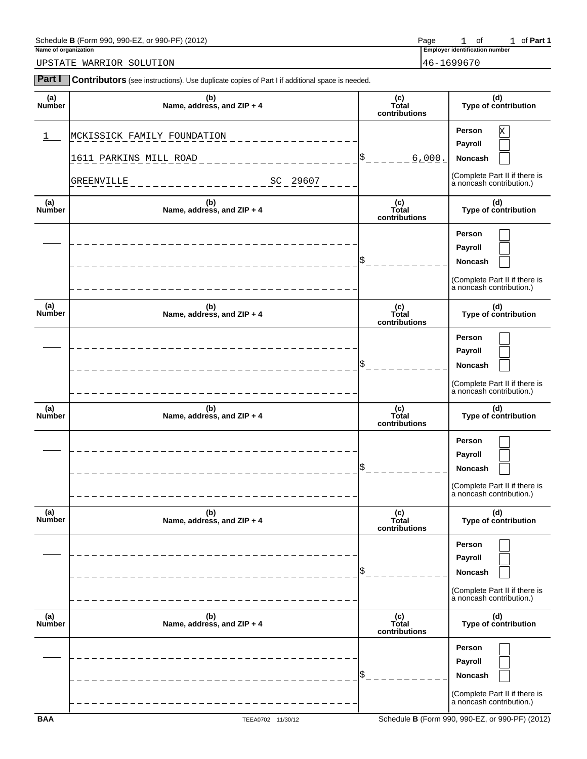| Schedule<br>990-EZ<br>(2012)<br>000<br>DE<br>990<br>∙orm<br>ΩI<br>uur<br>. .<br>$\cdot$ | ' <sup>o</sup> age | -                       | Οt | ан |
|-----------------------------------------------------------------------------------------|--------------------|-------------------------|----|----|
| Name of organization                                                                    | _mplover_          | r identification number |    |    |

**Part I** Contributors (see instructions). Use duplicate copies of Part I if additional space is needed.

**Employer identification number** 1 of 1 of Part 1

UPSTATE WARRIOR SOLUTION 46-1699670

| (a)<br>Number        | (b)<br>Name, address, and ZIP + 4                                               | (c)<br>Total<br>contributions | (d)<br>Type of contribution                                                                    |
|----------------------|---------------------------------------------------------------------------------|-------------------------------|------------------------------------------------------------------------------------------------|
| ı                    | MCKISSICK FAMILY FOUNDATION<br>1611 PARKINS MILL ROAD<br>SC 29607<br>GREENVILLE | 6,000.                        | Person<br>Х<br>Payroll<br>Noncash<br>(Complete Part II if there is<br>a noncash contribution.) |
| (a)<br>Number        | (b)<br>Name, address, and ZIP + 4                                               | (c)<br>Total<br>contributions | (d)<br>Type of contribution                                                                    |
|                      |                                                                                 |                               | Person<br>Payroll<br>Noncash<br>(Complete Part II if there is<br>a noncash contribution.)      |
| (a)<br>Number        | (b)<br>Name, address, and ZIP + 4                                               | (c)<br>Total<br>contributions | (d)<br>Type of contribution                                                                    |
|                      |                                                                                 |                               | Person<br>Payroll<br>Noncash<br>(Complete Part II if there is<br>a noncash contribution.)      |
| (a)<br>Number        | (b)<br>Name, address, and ZIP + 4                                               | (c)<br>Total<br>contributions | (d)<br>Type of contribution                                                                    |
|                      |                                                                                 |                               | Person<br>Payroll<br>Noncash<br>(Complete Part II if there is<br>a noncash contribution.)      |
| (a)<br><b>Number</b> | (b)<br>Name, address, and ZIP + 4                                               | (c)<br>Total<br>contributions | (d)<br>Type of contribution                                                                    |
|                      |                                                                                 |                               | Person<br>Payroll<br>Noncash<br>(Complete Part II if there is<br>à noncash contribution.)      |
| (a)<br>Number        | (b)<br>Name, address, and ZIP + 4                                               | (c)<br>Total<br>contributions | (d)<br>Type of contribution                                                                    |
|                      |                                                                                 |                               | Person<br>Payroll<br>Noncash<br>(Complete Part II if there is<br>à noncash contribution.)      |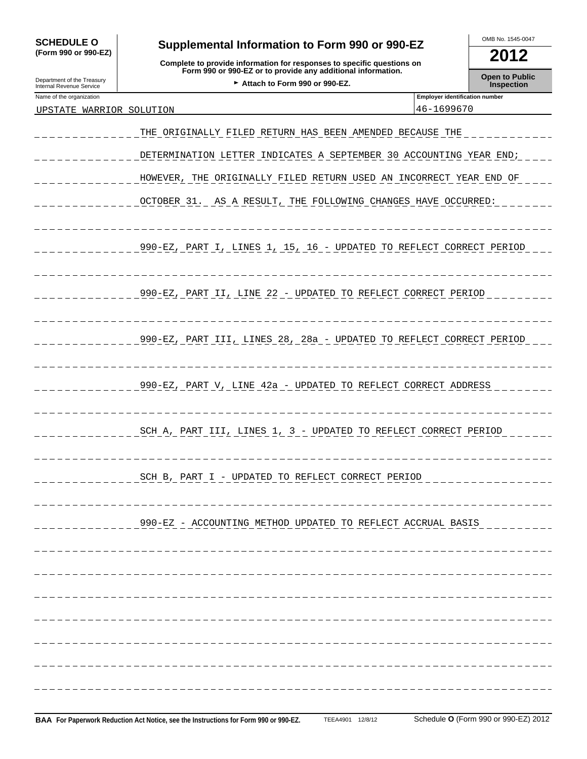| <b>SCHEDULE O</b>                                      | Supplemental Information to Form 990 or 990-EZ                                                                                         |                                       | OMB No. 1545-0047     |
|--------------------------------------------------------|----------------------------------------------------------------------------------------------------------------------------------------|---------------------------------------|-----------------------|
| (Form 990 or 990-EZ)                                   | Complete to provide information for responses to specific questions on<br>Form 990 or 990-EZ or to provide any additional information. |                                       | 2012                  |
|                                                        |                                                                                                                                        |                                       | <b>Open to Public</b> |
| Department of the Treasury<br>Internal Revenue Service | Attach to Form 990 or 990-EZ.                                                                                                          |                                       | Inspection            |
| Name of the organization                               |                                                                                                                                        | <b>Employer identification number</b> |                       |
| UPSTATE WARRIOR SOLUTION                               |                                                                                                                                        | 46-1699670                            |                       |
|                                                        | THE ORIGINALLY FILED RETURN HAS BEEN AMENDED BECAUSE THE                                                                               |                                       |                       |
|                                                        | DETERMINATION LETTER INDICATES A SEPTEMBER 30 ACCOUNTING YEAR END;                                                                     |                                       |                       |
|                                                        | HOWEVER, THE ORIGINALLY FILED RETURN USED AN INCORRECT YEAR END OF                                                                     |                                       |                       |
|                                                        | OCTOBER 31. AS A RESULT, THE FOLLOWING CHANGES HAVE OCCURRED:                                                                          |                                       |                       |
|                                                        | 990-EZ, PART I, LINES 1, 15, 16 - UPDATED TO REFLECT CORRECT PERIOD                                                                    |                                       |                       |
|                                                        | 990-EZ, PART II, LINE 22 - UPDATED TO REFLECT CORRECT PERIOD                                                                           |                                       |                       |
|                                                        | 990-EZ, PART III, LINES 28, 28a - UPDATED TO REFLECT CORRECT PERIOD                                                                    |                                       |                       |
|                                                        | 990-EZ, PART V, LINE 42a - UPDATED TO REFLECT CORRECT ADDRESS                                                                          |                                       |                       |
|                                                        | SCH A, PART III, LINES 1, 3 - UPDATED TO REFLECT CORRECT PERIOD                                                                        |                                       |                       |
|                                                        | SCH B, PART I - UPDATED TO REFLECT CORRECT PERIOD                                                                                      |                                       |                       |
|                                                        | 990-EZ - ACCOUNTING METHOD UPDATED TO REFLECT ACCRUAL BASIS                                                                            |                                       |                       |
|                                                        |                                                                                                                                        |                                       |                       |
|                                                        |                                                                                                                                        |                                       |                       |
|                                                        |                                                                                                                                        |                                       |                       |
|                                                        |                                                                                                                                        |                                       |                       |
|                                                        |                                                                                                                                        |                                       |                       |
|                                                        |                                                                                                                                        |                                       |                       |
|                                                        |                                                                                                                                        |                                       |                       |